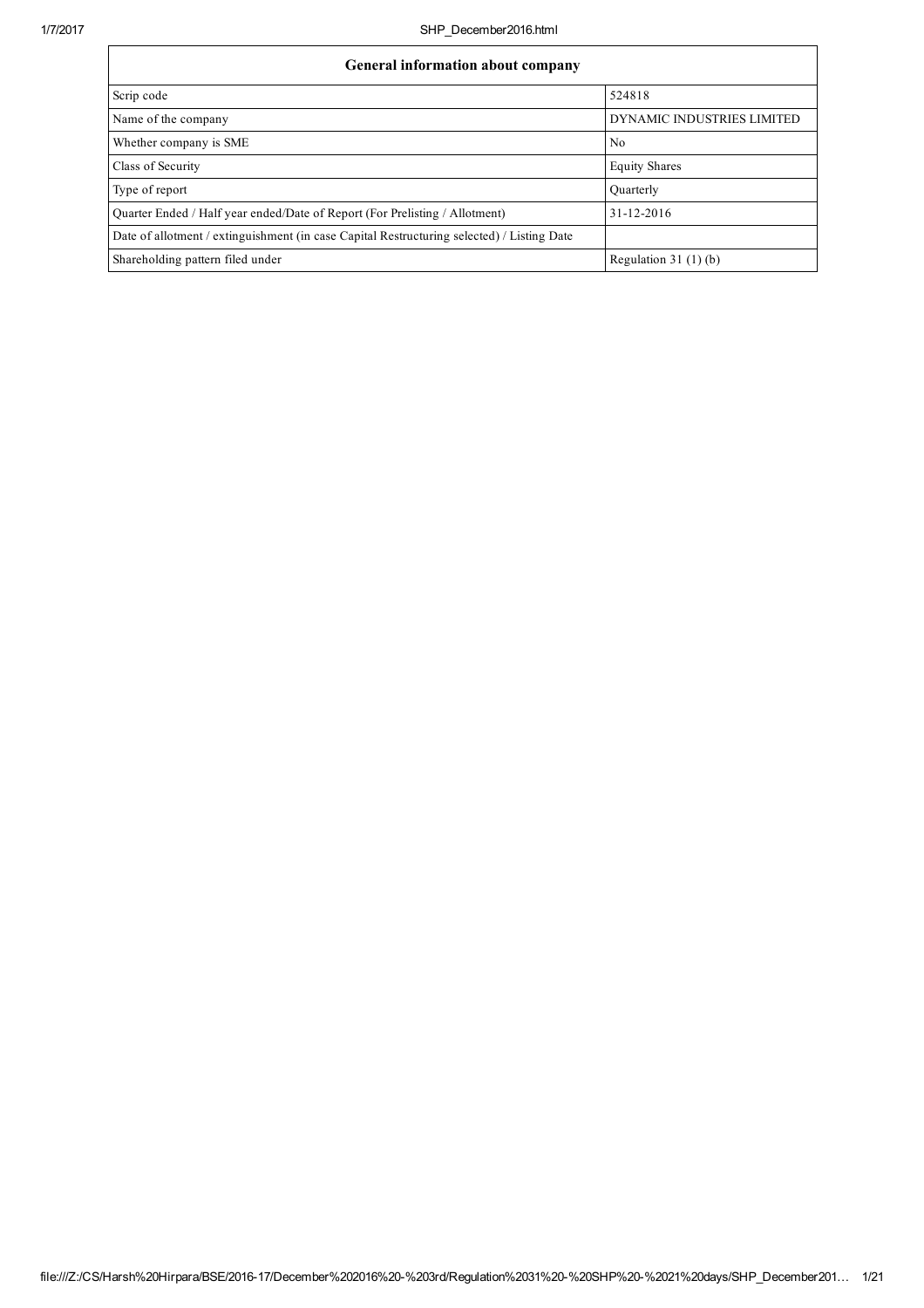ा

| General information about company                                                          |                            |  |  |  |  |
|--------------------------------------------------------------------------------------------|----------------------------|--|--|--|--|
| Scrip code                                                                                 | 524818                     |  |  |  |  |
| Name of the company                                                                        | DYNAMIC INDUSTRIES LIMITED |  |  |  |  |
| Whether company is SME                                                                     | No                         |  |  |  |  |
| Class of Security                                                                          | <b>Equity Shares</b>       |  |  |  |  |
| Type of report                                                                             | Quarterly                  |  |  |  |  |
| Quarter Ended / Half year ended/Date of Report (For Prelisting / Allotment)                | 31-12-2016                 |  |  |  |  |
| Date of allotment / extinguishment (in case Capital Restructuring selected) / Listing Date |                            |  |  |  |  |
| Shareholding pattern filed under                                                           | Regulation $31(1)(b)$      |  |  |  |  |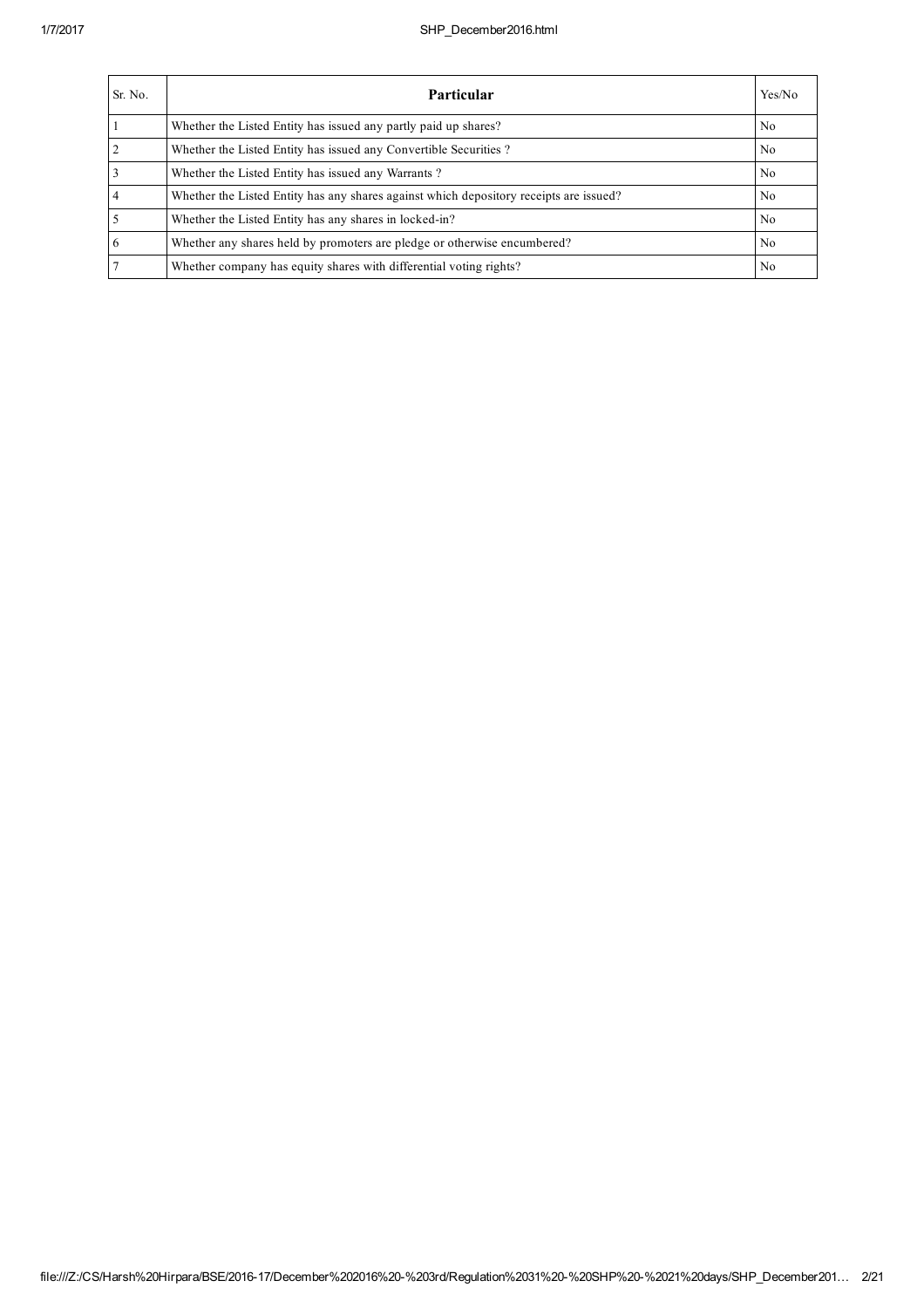| Sr. No. | <b>Particular</b>                                                                      | Yes/No |
|---------|----------------------------------------------------------------------------------------|--------|
|         | Whether the Listed Entity has issued any partly paid up shares?                        | No     |
|         | Whether the Listed Entity has issued any Convertible Securities?                       | No     |
|         | Whether the Listed Entity has issued any Warrants?                                     | No     |
|         | Whether the Listed Entity has any shares against which depository receipts are issued? | No     |
|         | Whether the Listed Entity has any shares in locked-in?                                 | No     |
| b       | Whether any shares held by promoters are pledge or otherwise encumbered?               | No     |
|         | Whether company has equity shares with differential voting rights?                     | No     |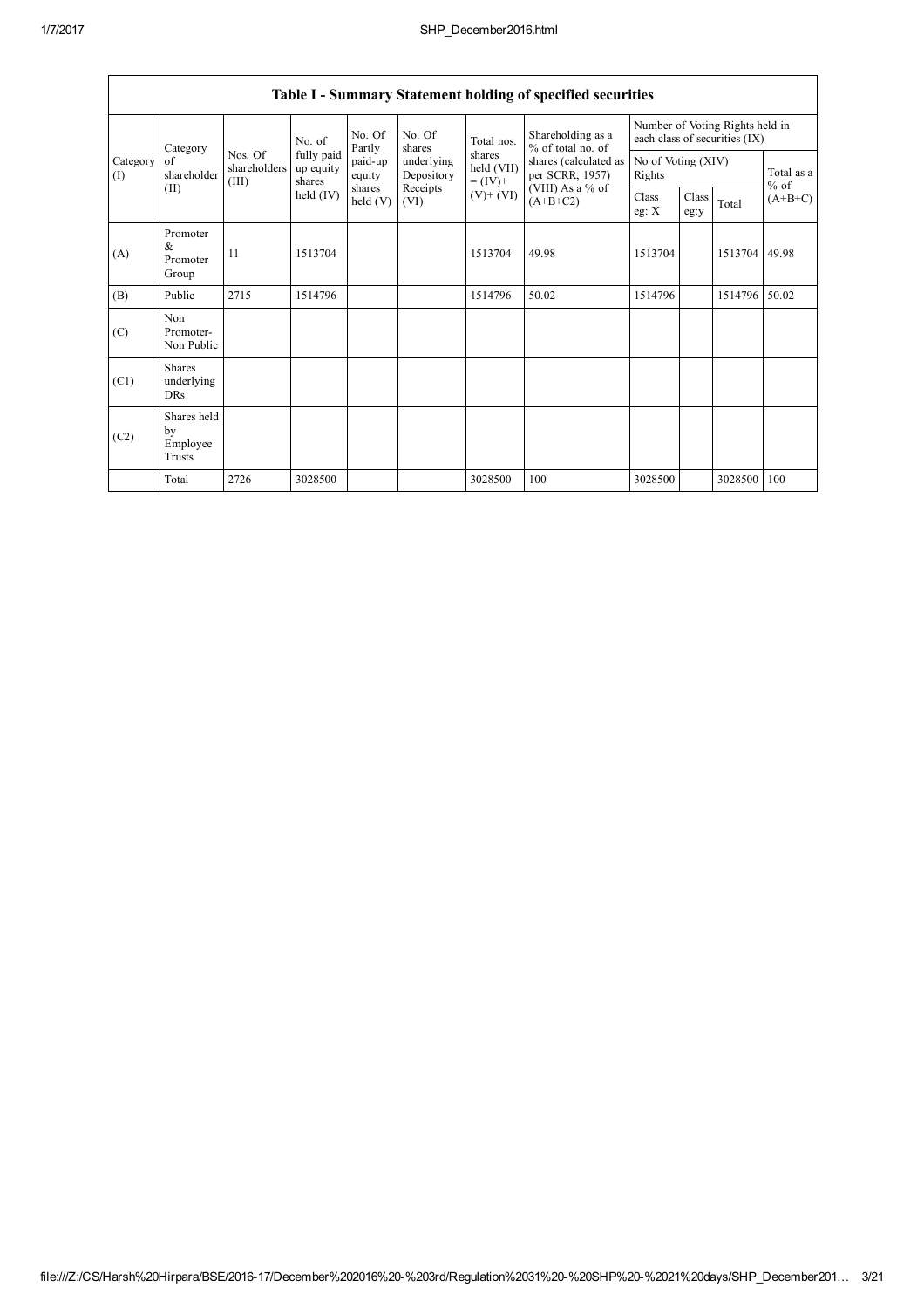|                 | Category                                  | No. of                           |                                   | No. Of<br>Partly   | No. Of<br>shares         | Total nos.                         | Shareholding as a<br>% of total no. of<br>shares (calculated as<br>per SCRR, 1957)<br>(VIII) As a % of<br>$(A+B+C2)$ | Number of Voting Rights held in<br>each class of securities (IX) |               |                      |           |
|-----------------|-------------------------------------------|----------------------------------|-----------------------------------|--------------------|--------------------------|------------------------------------|----------------------------------------------------------------------------------------------------------------------|------------------------------------------------------------------|---------------|----------------------|-----------|
| Category<br>(I) | of<br>shareholder                         | Nos. Of<br>shareholders<br>(III) | fully paid<br>up equity<br>shares | paid-up<br>equity  | underlying<br>Depository | shares<br>held (VII)<br>$= (IV) +$ |                                                                                                                      | No of Voting (XIV)<br>Rights                                     |               | Total as a<br>$%$ of |           |
|                 | (II)                                      |                                  | held (IV)                         | shares<br>held (V) | Receipts<br>(VI)         | $(V)$ + $(VI)$                     |                                                                                                                      | Class<br>eg: $X$                                                 | Class<br>eg:y | Total                | $(A+B+C)$ |
| (A)             | Promoter<br>&<br>Promoter<br>Group        | 11                               | 1513704                           |                    |                          | 1513704                            | 49.98                                                                                                                | 1513704                                                          |               | 1513704              | 49.98     |
| (B)             | Public                                    | 2715                             | 1514796                           |                    |                          | 1514796                            | 50.02                                                                                                                | 1514796                                                          |               | 1514796              | 50.02     |
| (C)             | Non<br>Promoter-<br>Non Public            |                                  |                                   |                    |                          |                                    |                                                                                                                      |                                                                  |               |                      |           |
| (C1)            | <b>Shares</b><br>underlying<br><b>DRs</b> |                                  |                                   |                    |                          |                                    |                                                                                                                      |                                                                  |               |                      |           |
| (C2)            | Shares held<br>by<br>Employee<br>Trusts   |                                  |                                   |                    |                          |                                    |                                                                                                                      |                                                                  |               |                      |           |
|                 | Total                                     | 2726                             | 3028500                           |                    |                          | 3028500                            | 100                                                                                                                  | 3028500                                                          |               | 3028500              | 100       |

## Table I - Summary Statement holding of specified securities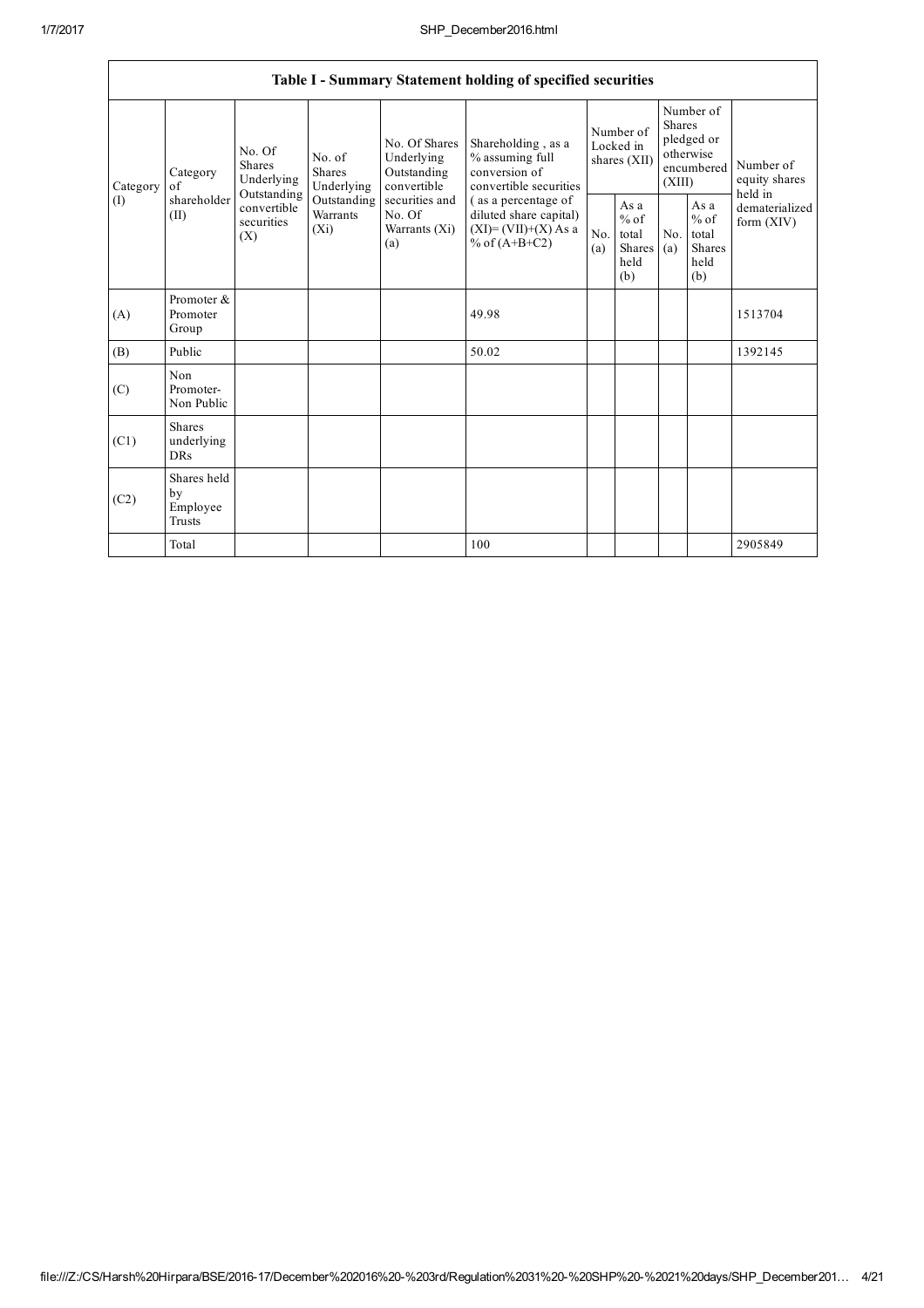|                            | Table I - Summary Statement holding of specified securities                                                                                                                                                                                                   |                                |                                                         |                                                           |                                                                                  |                                        |  |                                                                               |  |                                       |
|----------------------------|---------------------------------------------------------------------------------------------------------------------------------------------------------------------------------------------------------------------------------------------------------------|--------------------------------|---------------------------------------------------------|-----------------------------------------------------------|----------------------------------------------------------------------------------|----------------------------------------|--|-------------------------------------------------------------------------------|--|---------------------------------------|
| of<br>Category             | Category                                                                                                                                                                                                                                                      | No. Of<br>Shares<br>Underlying | No. of<br><b>Shares</b><br>Underlying                   | No. Of Shares<br>Underlying<br>Outstanding<br>convertible | Shareholding, as a<br>% assuming full<br>conversion of<br>convertible securities | Number of<br>Locked in<br>shares (XII) |  | Number of<br><b>Shares</b><br>pledged or<br>otherwise<br>encumbered<br>(XIII) |  | Number of<br>equity shares<br>held in |
| $\left( \mathrm{I}\right)$ | Outstanding<br>shareholder<br>Outstanding<br>securities and<br>(as a percentage of<br>convertible<br>(II)<br>Warrants<br>No. Of<br>diluted share capital)<br>securities<br>$(X_i)$<br>$(XI)=(VII)+(X) As a$<br>Warrants (Xi)<br>(X)<br>% of $(A+B+C2)$<br>(a) | No.<br>(a)                     | As a<br>$%$ of<br>total<br><b>Shares</b><br>held<br>(b) | No.<br>(a)                                                | As a<br>$%$ of<br>total<br>Shares<br>held<br>(b)                                 | dematerialized<br>form $(XIV)$         |  |                                                                               |  |                                       |
| (A)                        | Promoter &<br>Promoter<br>Group                                                                                                                                                                                                                               |                                |                                                         |                                                           | 49.98                                                                            |                                        |  |                                                                               |  | 1513704                               |
| (B)                        | Public                                                                                                                                                                                                                                                        |                                |                                                         |                                                           | 50.02                                                                            |                                        |  |                                                                               |  | 1392145                               |
| (C)                        | Non<br>Promoter-<br>Non Public                                                                                                                                                                                                                                |                                |                                                         |                                                           |                                                                                  |                                        |  |                                                                               |  |                                       |
| (C1)                       | <b>Shares</b><br>underlying<br><b>DRs</b>                                                                                                                                                                                                                     |                                |                                                         |                                                           |                                                                                  |                                        |  |                                                                               |  |                                       |
| (C2)                       | Shares held<br>by<br>Employee<br>Trusts                                                                                                                                                                                                                       |                                |                                                         |                                                           |                                                                                  |                                        |  |                                                                               |  |                                       |
|                            | Total                                                                                                                                                                                                                                                         |                                |                                                         |                                                           | 100                                                                              |                                        |  |                                                                               |  | 2905849                               |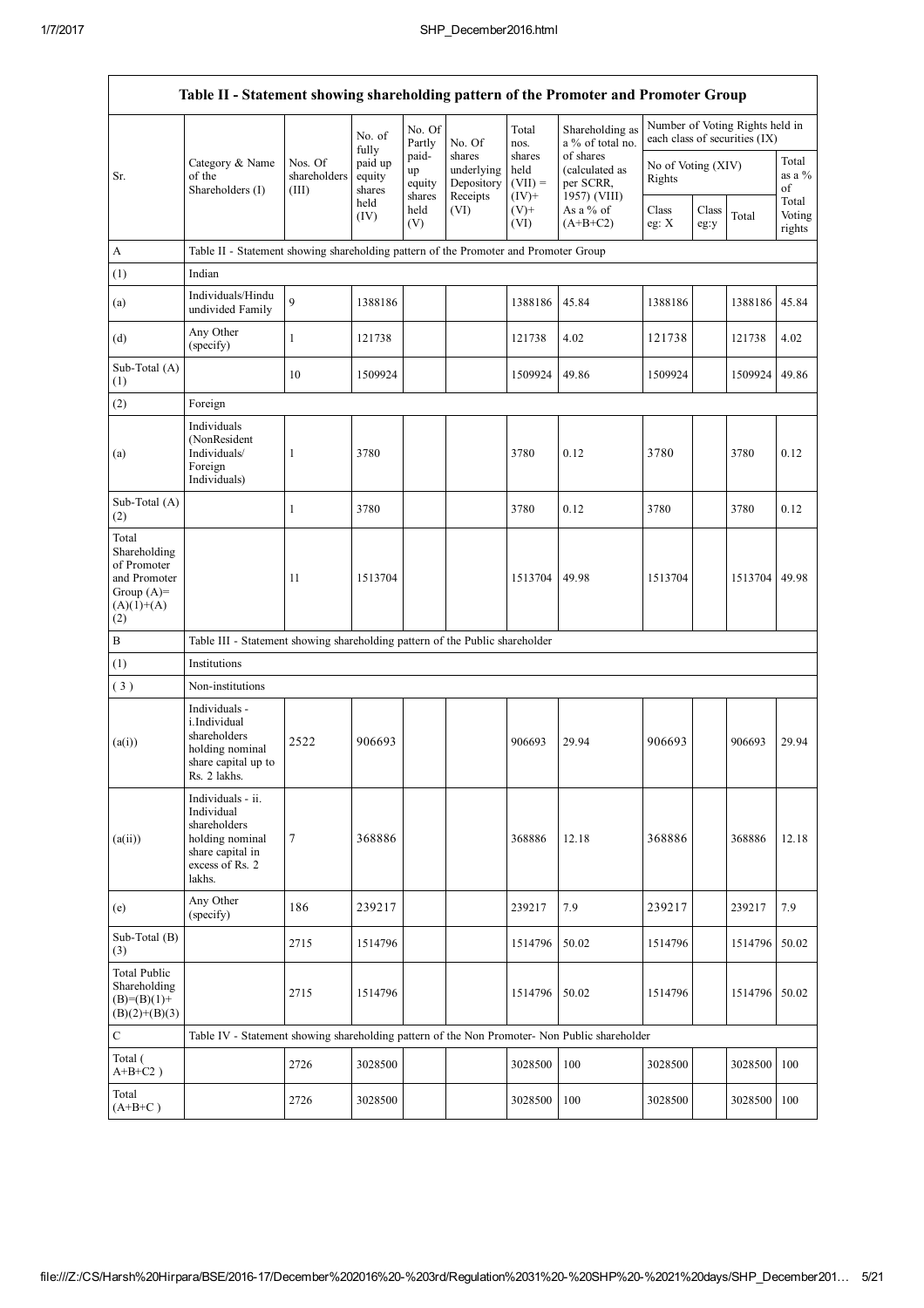$\mathbf{r}$ 

٦

| Table II - Statement showing shareholding pattern of the Promoter and Promoter Group        |                                                                                                                     |                                  |                             |                       |                                    |                             |                                          |                              |               |                                                                  |                           |
|---------------------------------------------------------------------------------------------|---------------------------------------------------------------------------------------------------------------------|----------------------------------|-----------------------------|-----------------------|------------------------------------|-----------------------------|------------------------------------------|------------------------------|---------------|------------------------------------------------------------------|---------------------------|
|                                                                                             |                                                                                                                     |                                  | No. of<br>fully             | No. Of<br>Partly      | No. Of                             | Total<br>nos.               | Shareholding as<br>a % of total no.      |                              |               | Number of Voting Rights held in<br>each class of securities (IX) |                           |
| Sr.                                                                                         | Category & Name<br>of the<br>Shareholders (I)                                                                       | Nos. Of<br>shareholders<br>(III) | paid up<br>equity<br>shares | paid-<br>up<br>equity | shares<br>underlying<br>Depository | shares<br>held<br>$(VII) =$ | of shares<br>(calculated as<br>per SCRR, | No of Voting (XIV)<br>Rights |               |                                                                  | Total<br>as a $%$<br>of   |
|                                                                                             |                                                                                                                     |                                  | held<br>(IV)                | shares<br>held<br>(V) | Receipts<br>(VI)                   | $(IV)$ +<br>$(V)$ +<br>(VI) | 1957) (VIII)<br>As a % of<br>$(A+B+C2)$  | Class<br>eg: X               | Class<br>eg:y | Total                                                            | Total<br>Voting<br>rights |
| A                                                                                           | Table II - Statement showing shareholding pattern of the Promoter and Promoter Group                                |                                  |                             |                       |                                    |                             |                                          |                              |               |                                                                  |                           |
| (1)                                                                                         | Indian                                                                                                              |                                  |                             |                       |                                    |                             |                                          |                              |               |                                                                  |                           |
| (a)                                                                                         | Individuals/Hindu<br>undivided Family                                                                               | 9                                | 1388186                     |                       |                                    | 1388186                     | 45.84                                    | 1388186                      |               | 1388186                                                          | 45.84                     |
| (d)                                                                                         | Any Other<br>(specify)                                                                                              | $\mathbf{1}$                     | 121738                      |                       |                                    | 121738                      | 4.02                                     | 121738                       |               | 121738                                                           | 4.02                      |
| Sub-Total (A)<br>(1)                                                                        |                                                                                                                     | 10                               | 1509924                     |                       |                                    | 1509924                     | 49.86                                    | 1509924                      |               | 1509924                                                          | 49.86                     |
| (2)                                                                                         | Foreign                                                                                                             |                                  |                             |                       |                                    |                             |                                          |                              |               |                                                                  |                           |
| (a)                                                                                         | Individuals<br>(NonResident<br>Individuals/<br>Foreign<br>Individuals)                                              | 1                                | 3780                        |                       |                                    | 3780                        | 0.12                                     | 3780                         |               | 3780                                                             | 0.12                      |
| Sub-Total (A)<br>(2)                                                                        |                                                                                                                     | 1                                | 3780                        |                       |                                    | 3780                        | 0.12                                     | 3780                         |               | 3780                                                             | 0.12                      |
| Total<br>Shareholding<br>of Promoter<br>and Promoter<br>Group $(A)=$<br>$(A)(1)+(A)$<br>(2) |                                                                                                                     | 11                               | 1513704                     |                       |                                    | 1513704                     | 49.98                                    | 1513704                      |               | 1513704                                                          | 49.98                     |
| $\, {\bf B}$                                                                                | Table III - Statement showing shareholding pattern of the Public shareholder                                        |                                  |                             |                       |                                    |                             |                                          |                              |               |                                                                  |                           |
| (1)                                                                                         | Institutions                                                                                                        |                                  |                             |                       |                                    |                             |                                          |                              |               |                                                                  |                           |
| (3)                                                                                         | Non-institutions                                                                                                    |                                  |                             |                       |                                    |                             |                                          |                              |               |                                                                  |                           |
| (a(i))                                                                                      | Individuals -<br>i.Individual<br>shareholders<br>holding nominal<br>share capital up to<br>Rs. 2 lakhs.             | 2522                             | 906693                      |                       |                                    | 906693                      | 29.94                                    | 906693                       |               | 906693                                                           | 29.94                     |
| (a(ii))                                                                                     | Individuals - ii.<br>Individual<br>shareholders<br>holding nominal<br>share capital in<br>excess of Rs. 2<br>lakhs. | 7                                | 368886                      |                       |                                    | 368886                      | 12.18                                    | 368886                       |               | 368886                                                           | 12.18                     |
| (e)                                                                                         | Any Other<br>(specify)                                                                                              | 186                              | 239217                      |                       |                                    | 239217                      | 7.9                                      | 239217                       |               | 239217                                                           | 7.9                       |
| Sub-Total (B)<br>(3)                                                                        |                                                                                                                     | 2715                             | 1514796                     |                       |                                    | 1514796                     | 50.02                                    | 1514796                      |               | 1514796                                                          | 50.02                     |
| <b>Total Public</b><br>Shareholding<br>$(B)=(B)(1)+$<br>$(B)(2)+(B)(3)$                     |                                                                                                                     | 2715                             | 1514796                     |                       |                                    | 1514796                     | 50.02                                    | 1514796                      |               | 1514796                                                          | 50.02                     |
| $\mathbf C$                                                                                 | Table IV - Statement showing shareholding pattern of the Non Promoter- Non Public shareholder                       |                                  |                             |                       |                                    |                             |                                          |                              |               |                                                                  |                           |
| Total (<br>$A+B+C2$ )                                                                       |                                                                                                                     | 2726                             | 3028500                     |                       |                                    | 3028500                     | 100                                      | 3028500                      |               | 3028500                                                          | 100                       |
| Total<br>$(A+B+C)$                                                                          |                                                                                                                     | 2726                             | 3028500                     |                       |                                    | 3028500                     | 100                                      | 3028500                      |               | 3028500                                                          | 100                       |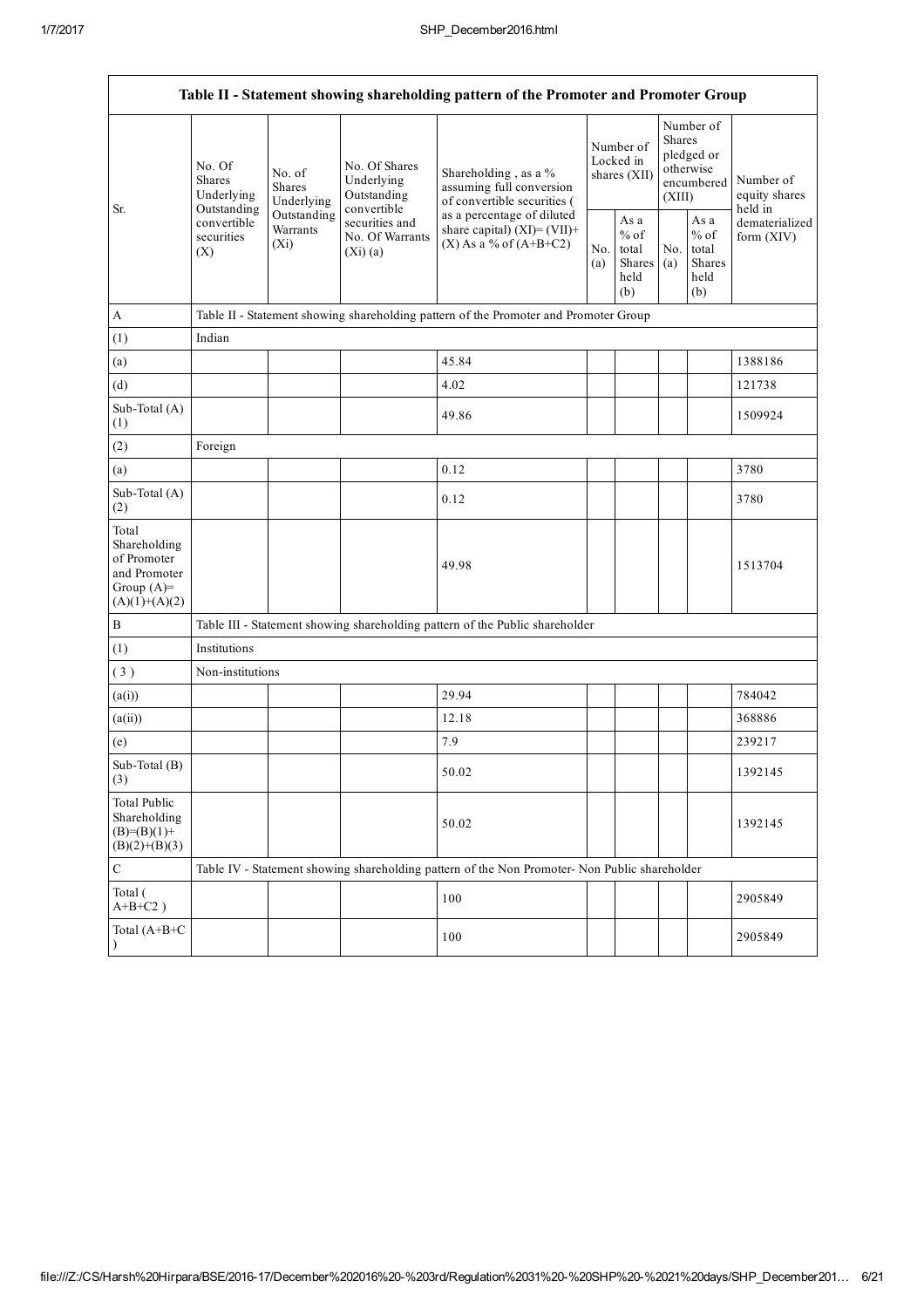$\mathbf{r}$ 

٦

| Table II - Statement showing shareholding pattern of the Promoter and Promoter Group    |                                                                                                                                                                                                                                                                                                                                                                                                                                                                                  |            |                                                  |                                                                                               |                                                  |                                        |                                                                               |  |                                       |
|-----------------------------------------------------------------------------------------|----------------------------------------------------------------------------------------------------------------------------------------------------------------------------------------------------------------------------------------------------------------------------------------------------------------------------------------------------------------------------------------------------------------------------------------------------------------------------------|------------|--------------------------------------------------|-----------------------------------------------------------------------------------------------|--------------------------------------------------|----------------------------------------|-------------------------------------------------------------------------------|--|---------------------------------------|
|                                                                                         | No. Of<br>No. Of Shares<br>No. of<br>Shareholding, as a %<br><b>Shares</b><br>Underlying<br>assuming full conversion<br><b>Shares</b><br>Outstanding<br>Underlying<br>Underlying<br>of convertible securities (<br>convertible<br>Outstanding<br>Sr.<br>Outstanding<br>as a percentage of diluted<br>securities and<br>convertible<br>Warrants<br>share capital) $(XI) = (VII) +$<br>No. Of Warrants<br>securities<br>$(X)$ As a % of $(A+B+C2)$<br>$(X_i)$<br>(X)<br>$(Xi)$ (a) |            |                                                  |                                                                                               |                                                  | Number of<br>Locked in<br>shares (XII) | Number of<br><b>Shares</b><br>pledged or<br>otherwise<br>encumbered<br>(XIII) |  | Number of<br>equity shares<br>held in |
|                                                                                         |                                                                                                                                                                                                                                                                                                                                                                                                                                                                                  | No.<br>(a) | As a<br>$%$ of<br>total<br>Shares<br>held<br>(b) | No.<br>(a)                                                                                    | As a<br>$%$ of<br>total<br>Shares<br>held<br>(b) | dematerialized<br>form $(XIV)$         |                                                                               |  |                                       |
| A                                                                                       |                                                                                                                                                                                                                                                                                                                                                                                                                                                                                  |            |                                                  | Table II - Statement showing shareholding pattern of the Promoter and Promoter Group          |                                                  |                                        |                                                                               |  |                                       |
| (1)                                                                                     | Indian                                                                                                                                                                                                                                                                                                                                                                                                                                                                           |            |                                                  |                                                                                               |                                                  |                                        |                                                                               |  |                                       |
| (a)                                                                                     |                                                                                                                                                                                                                                                                                                                                                                                                                                                                                  |            |                                                  | 45.84                                                                                         |                                                  |                                        |                                                                               |  | 1388186                               |
| (d)                                                                                     |                                                                                                                                                                                                                                                                                                                                                                                                                                                                                  |            |                                                  | 4.02                                                                                          |                                                  |                                        |                                                                               |  | 121738                                |
| Sub-Total (A)<br>(1)                                                                    |                                                                                                                                                                                                                                                                                                                                                                                                                                                                                  |            |                                                  | 49.86                                                                                         |                                                  |                                        |                                                                               |  | 1509924                               |
| (2)                                                                                     | Foreign                                                                                                                                                                                                                                                                                                                                                                                                                                                                          |            |                                                  |                                                                                               |                                                  |                                        |                                                                               |  |                                       |
| (a)                                                                                     |                                                                                                                                                                                                                                                                                                                                                                                                                                                                                  |            |                                                  | 0.12                                                                                          |                                                  |                                        |                                                                               |  | 3780                                  |
| Sub-Total (A)<br>(2)                                                                    |                                                                                                                                                                                                                                                                                                                                                                                                                                                                                  |            |                                                  | 0.12                                                                                          |                                                  |                                        |                                                                               |  | 3780                                  |
| Total<br>Shareholding<br>of Promoter<br>and Promoter<br>Group $(A)=$<br>$(A)(1)+(A)(2)$ |                                                                                                                                                                                                                                                                                                                                                                                                                                                                                  |            |                                                  | 49.98                                                                                         |                                                  |                                        |                                                                               |  | 1513704                               |
| $\, {\bf B}$                                                                            |                                                                                                                                                                                                                                                                                                                                                                                                                                                                                  |            |                                                  | Table III - Statement showing shareholding pattern of the Public shareholder                  |                                                  |                                        |                                                                               |  |                                       |
| (1)                                                                                     | Institutions                                                                                                                                                                                                                                                                                                                                                                                                                                                                     |            |                                                  |                                                                                               |                                                  |                                        |                                                                               |  |                                       |
| (3)                                                                                     | Non-institutions                                                                                                                                                                                                                                                                                                                                                                                                                                                                 |            |                                                  |                                                                                               |                                                  |                                        |                                                                               |  |                                       |
| (a(i))                                                                                  |                                                                                                                                                                                                                                                                                                                                                                                                                                                                                  |            |                                                  | 29.94                                                                                         |                                                  |                                        |                                                                               |  | 784042                                |
| (a(ii))                                                                                 |                                                                                                                                                                                                                                                                                                                                                                                                                                                                                  |            |                                                  | 12.18                                                                                         |                                                  |                                        |                                                                               |  | 368886                                |
| (e)                                                                                     |                                                                                                                                                                                                                                                                                                                                                                                                                                                                                  |            |                                                  | 7.9                                                                                           |                                                  |                                        |                                                                               |  | 239217                                |
| Sub-Total (B)<br>(3)                                                                    |                                                                                                                                                                                                                                                                                                                                                                                                                                                                                  |            |                                                  | 50.02                                                                                         |                                                  |                                        |                                                                               |  | 1392145                               |
| <b>Total Public</b><br>Shareholding<br>$(B)= (B)(1) +$<br>$(B)(2)+(B)(3)$               |                                                                                                                                                                                                                                                                                                                                                                                                                                                                                  |            |                                                  | 50.02                                                                                         |                                                  |                                        |                                                                               |  | 1392145                               |
| $\mathbf C$                                                                             |                                                                                                                                                                                                                                                                                                                                                                                                                                                                                  |            |                                                  | Table IV - Statement showing shareholding pattern of the Non Promoter- Non Public shareholder |                                                  |                                        |                                                                               |  |                                       |
| Total (<br>$A+B+C2$ )                                                                   |                                                                                                                                                                                                                                                                                                                                                                                                                                                                                  |            |                                                  | 100                                                                                           |                                                  |                                        |                                                                               |  | 2905849                               |
| Total (A+B+C                                                                            |                                                                                                                                                                                                                                                                                                                                                                                                                                                                                  |            |                                                  | 100                                                                                           |                                                  |                                        |                                                                               |  | 2905849                               |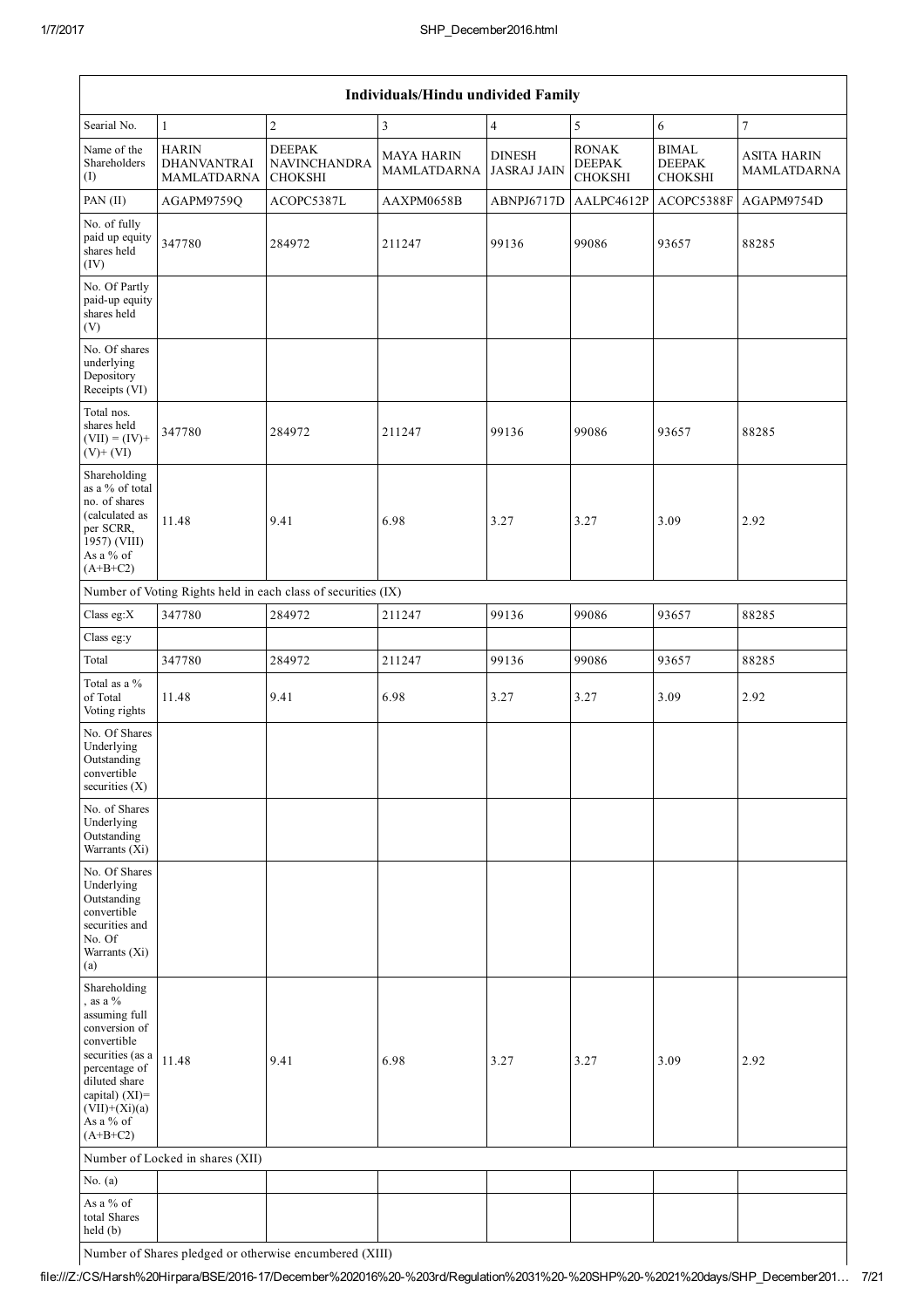| Individuals/Hindu undivided Family                                                                                                                                                                 |                                                          |                                                               |                                         |                                     |                                                 |                                                 |                                          |
|----------------------------------------------------------------------------------------------------------------------------------------------------------------------------------------------------|----------------------------------------------------------|---------------------------------------------------------------|-----------------------------------------|-------------------------------------|-------------------------------------------------|-------------------------------------------------|------------------------------------------|
| Searial No.                                                                                                                                                                                        | $\mathbf{1}$                                             | $\overline{c}$                                                | $\mathfrak z$                           | $\overline{4}$                      | 5                                               | 6                                               | $\boldsymbol{7}$                         |
| Name of the<br>Shareholders<br>(I)                                                                                                                                                                 | <b>HARIN</b><br><b>DHANVANTRAI</b><br><b>MAMLATDARNA</b> | <b>DEEPAK</b><br>NAVINCHANDRA<br><b>CHOKSHI</b>               | <b>MAYA HARIN</b><br><b>MAMLATDARNA</b> | <b>DINESH</b><br><b>JASRAJ JAIN</b> | <b>RONAK</b><br><b>DEEPAK</b><br><b>CHOKSHI</b> | <b>BIMAL</b><br><b>DEEPAK</b><br><b>CHOKSHI</b> | <b>ASITA HARIN</b><br><b>MAMLATDARNA</b> |
| PAN (II)                                                                                                                                                                                           | AGAPM9759Q                                               | ACOPC5387L                                                    | AAXPM0658B                              | ABNPJ6717D                          | AALPC4612P                                      | ACOPC5388F                                      | AGAPM9754D                               |
| No. of fully<br>paid up equity<br>shares held<br>(IV)                                                                                                                                              | 347780                                                   | 284972                                                        | 211247                                  | 99136                               | 99086                                           | 93657                                           | 88285                                    |
| No. Of Partly<br>paid-up equity<br>shares held<br>(V)                                                                                                                                              |                                                          |                                                               |                                         |                                     |                                                 |                                                 |                                          |
| No. Of shares<br>underlying<br>Depository<br>Receipts (VI)                                                                                                                                         |                                                          |                                                               |                                         |                                     |                                                 |                                                 |                                          |
| Total nos.<br>shares held<br>$(VII) = (IV) +$<br>$(V)+(VI)$                                                                                                                                        | 347780                                                   | 284972                                                        | 211247                                  | 99136                               | 99086                                           | 93657                                           | 88285                                    |
| Shareholding<br>as a % of total<br>no. of shares<br>(calculated as<br>per SCRR,<br>1957) (VIII)<br>As a % of<br>$(A+B+C2)$                                                                         | 11.48                                                    | 9.41                                                          | 6.98                                    | 3.27                                | 3.27                                            | 3.09                                            | 2.92                                     |
|                                                                                                                                                                                                    |                                                          | Number of Voting Rights held in each class of securities (IX) |                                         |                                     |                                                 |                                                 |                                          |
| Class eg:X                                                                                                                                                                                         | 347780                                                   | 284972                                                        | 211247                                  | 99136                               | 99086                                           | 93657                                           | 88285                                    |
| Class eg:y                                                                                                                                                                                         |                                                          |                                                               |                                         |                                     |                                                 |                                                 |                                          |
| Total                                                                                                                                                                                              | 347780                                                   | 284972                                                        | 211247                                  | 99136                               | 99086                                           | 93657                                           | 88285                                    |
| Total as a %<br>of Total<br>Voting rights                                                                                                                                                          | 11.48                                                    | 9.41                                                          | 6.98                                    | 3.27                                | 3.27                                            | 3.09                                            | 2.92                                     |
| No. Of Shares<br>Underlying<br>Outstanding<br>convertible<br>securities $(X)$                                                                                                                      |                                                          |                                                               |                                         |                                     |                                                 |                                                 |                                          |
| No. of Shares<br>Underlying<br>Outstanding<br>Warrants (Xi)                                                                                                                                        |                                                          |                                                               |                                         |                                     |                                                 |                                                 |                                          |
| No. Of Shares<br>Underlying<br>Outstanding<br>convertible<br>securities and<br>No. Of<br>Warrants (Xi)<br>(a)                                                                                      |                                                          |                                                               |                                         |                                     |                                                 |                                                 |                                          |
| Shareholding<br>, as a $\%$<br>assuming full<br>conversion of<br>convertible<br>securities (as a<br>percentage of<br>diluted share<br>capital) (XI)=<br>$(VII)+(Xi)(a)$<br>As a % of<br>$(A+B+C2)$ | 11.48                                                    | 9.41                                                          | 6.98                                    | 3.27                                | 3.27                                            | 3.09                                            | 2.92                                     |
|                                                                                                                                                                                                    | Number of Locked in shares (XII)                         |                                                               |                                         |                                     |                                                 |                                                 |                                          |
| No. $(a)$                                                                                                                                                                                          |                                                          |                                                               |                                         |                                     |                                                 |                                                 |                                          |
| As a % of<br>total Shares<br>held (b)                                                                                                                                                              |                                                          |                                                               |                                         |                                     |                                                 |                                                 |                                          |
|                                                                                                                                                                                                    | Number of Shares pledged or otherwise encumbered (XIII)  |                                                               |                                         |                                     |                                                 |                                                 |                                          |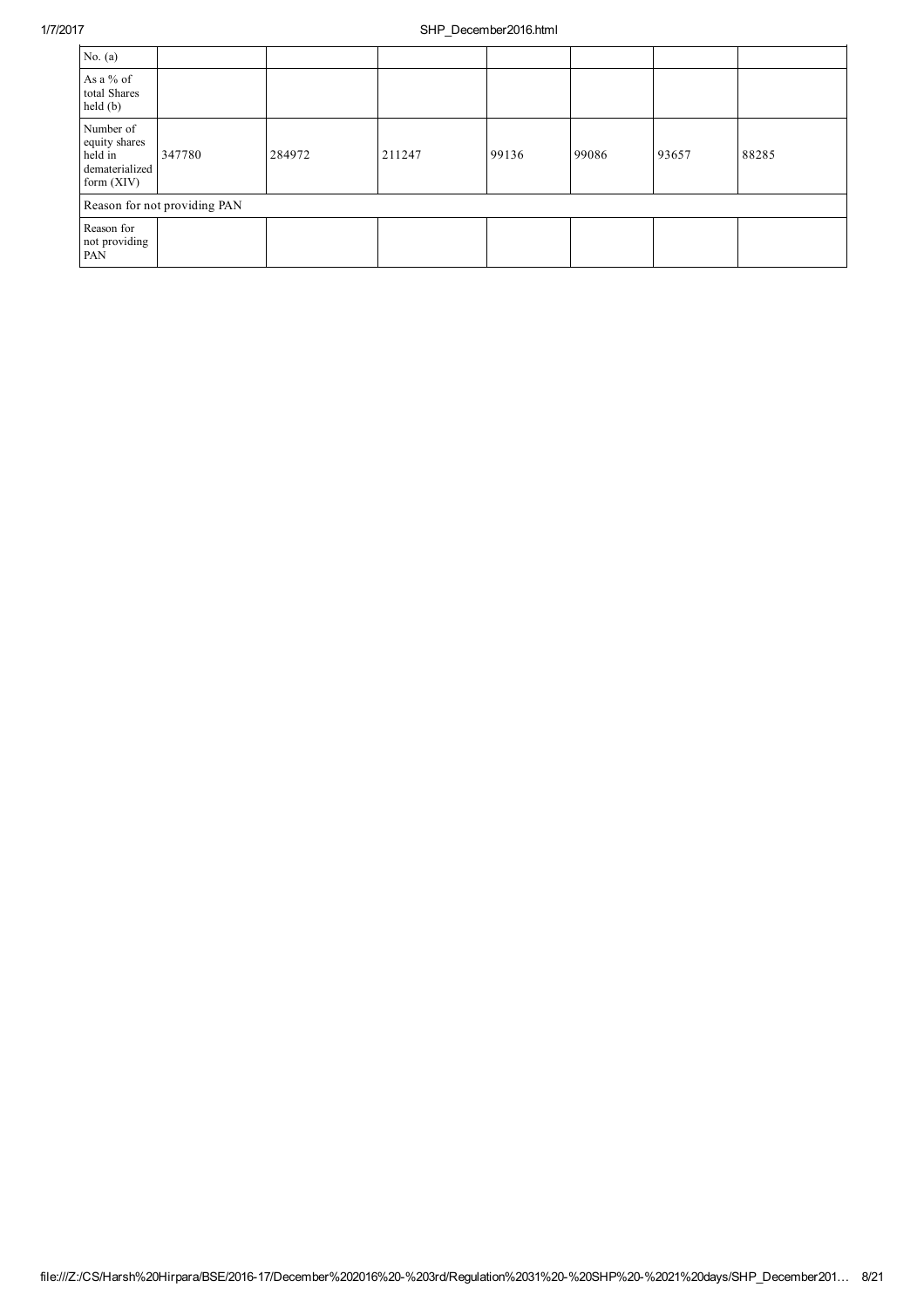| No. $(a)$                                                               |                              |        |        |       |       |       |       |
|-------------------------------------------------------------------------|------------------------------|--------|--------|-------|-------|-------|-------|
| As a % of<br>total Shares<br>held (b)                                   |                              |        |        |       |       |       |       |
| Number of<br>equity shares<br>held in<br>dematerialized<br>form $(XIV)$ | 347780                       | 284972 | 211247 | 99136 | 99086 | 93657 | 88285 |
|                                                                         | Reason for not providing PAN |        |        |       |       |       |       |
| Reason for<br>not providing<br>PAN                                      |                              |        |        |       |       |       |       |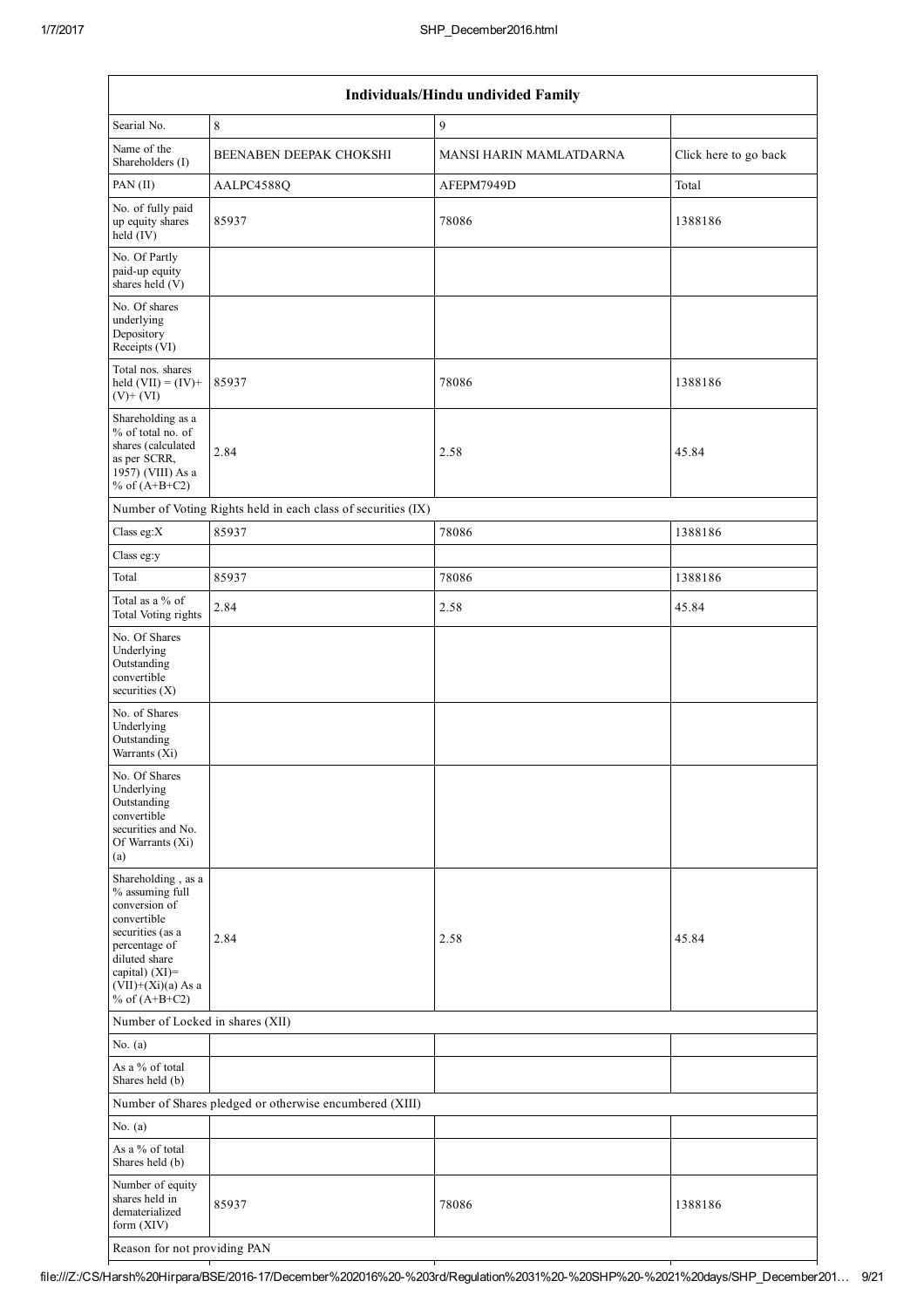| Individuals/Hindu undivided Family                                                                                                                                                       |                                                               |                         |                       |  |  |
|------------------------------------------------------------------------------------------------------------------------------------------------------------------------------------------|---------------------------------------------------------------|-------------------------|-----------------------|--|--|
| Searial No.                                                                                                                                                                              | 8                                                             | 9                       |                       |  |  |
| Name of the<br>Shareholders (I)                                                                                                                                                          | BEENABEN DEEPAK CHOKSHI                                       | MANSI HARIN MAMLATDARNA | Click here to go back |  |  |
| PAN (II)                                                                                                                                                                                 | AALPC4588Q                                                    | AFEPM7949D              | Total                 |  |  |
| No. of fully paid<br>up equity shares<br>$\text{held} (IV)$                                                                                                                              | 85937                                                         | 78086                   | 1388186               |  |  |
| No. Of Partly<br>paid-up equity<br>shares held (V)                                                                                                                                       |                                                               |                         |                       |  |  |
| No. Of shares<br>underlying<br>Depository<br>Receipts (VI)                                                                                                                               |                                                               |                         |                       |  |  |
| Total nos. shares<br>held $(VII) = (IV) +$<br>$(V)+(VI)$                                                                                                                                 | 85937                                                         | 78086                   | 1388186               |  |  |
| Shareholding as a<br>% of total no. of<br>shares (calculated<br>as per SCRR,<br>1957) (VIII) As a<br>% of $(A+B+C2)$                                                                     | 2.84                                                          | 2.58                    | 45.84                 |  |  |
|                                                                                                                                                                                          | Number of Voting Rights held in each class of securities (IX) |                         |                       |  |  |
| Class eg:X                                                                                                                                                                               | 85937                                                         | 78086                   | 1388186               |  |  |
| Class eg:y                                                                                                                                                                               |                                                               |                         |                       |  |  |
| Total                                                                                                                                                                                    | 85937                                                         | 78086                   | 1388186               |  |  |
| Total as a % of<br>Total Voting rights                                                                                                                                                   | 2.84                                                          | 2.58                    | 45.84                 |  |  |
| No. Of Shares<br>Underlying<br>Outstanding<br>convertible<br>securities (X)                                                                                                              |                                                               |                         |                       |  |  |
| No. of Shares<br>Underlying<br>Outstanding<br>Warrants (Xi)                                                                                                                              |                                                               |                         |                       |  |  |
| No. Of Shares<br>Underlying<br>Outstanding<br>convertible<br>securities and No.<br>Of Warrants (Xi)<br>(a)                                                                               |                                                               |                         |                       |  |  |
| Shareholding, as a<br>% assuming full<br>conversion of<br>convertible<br>securities (as a<br>percentage of<br>diluted share<br>capital) (XI)=<br>$(VII)+(Xi)(a)$ As a<br>% of $(A+B+C2)$ | 2.84                                                          | 2.58                    | 45.84                 |  |  |
| Number of Locked in shares (XII)                                                                                                                                                         |                                                               |                         |                       |  |  |
| No. $(a)$                                                                                                                                                                                |                                                               |                         |                       |  |  |
| As a % of total<br>Shares held (b)                                                                                                                                                       |                                                               |                         |                       |  |  |
|                                                                                                                                                                                          | Number of Shares pledged or otherwise encumbered (XIII)       |                         |                       |  |  |
| No. $(a)$                                                                                                                                                                                |                                                               |                         |                       |  |  |
| As a % of total<br>Shares held (b)                                                                                                                                                       |                                                               |                         |                       |  |  |
| Number of equity<br>shares held in<br>dematerialized<br>form (XIV)                                                                                                                       | 85937                                                         | 78086                   | 1388186               |  |  |
| Reason for not providing PAN                                                                                                                                                             |                                                               |                         |                       |  |  |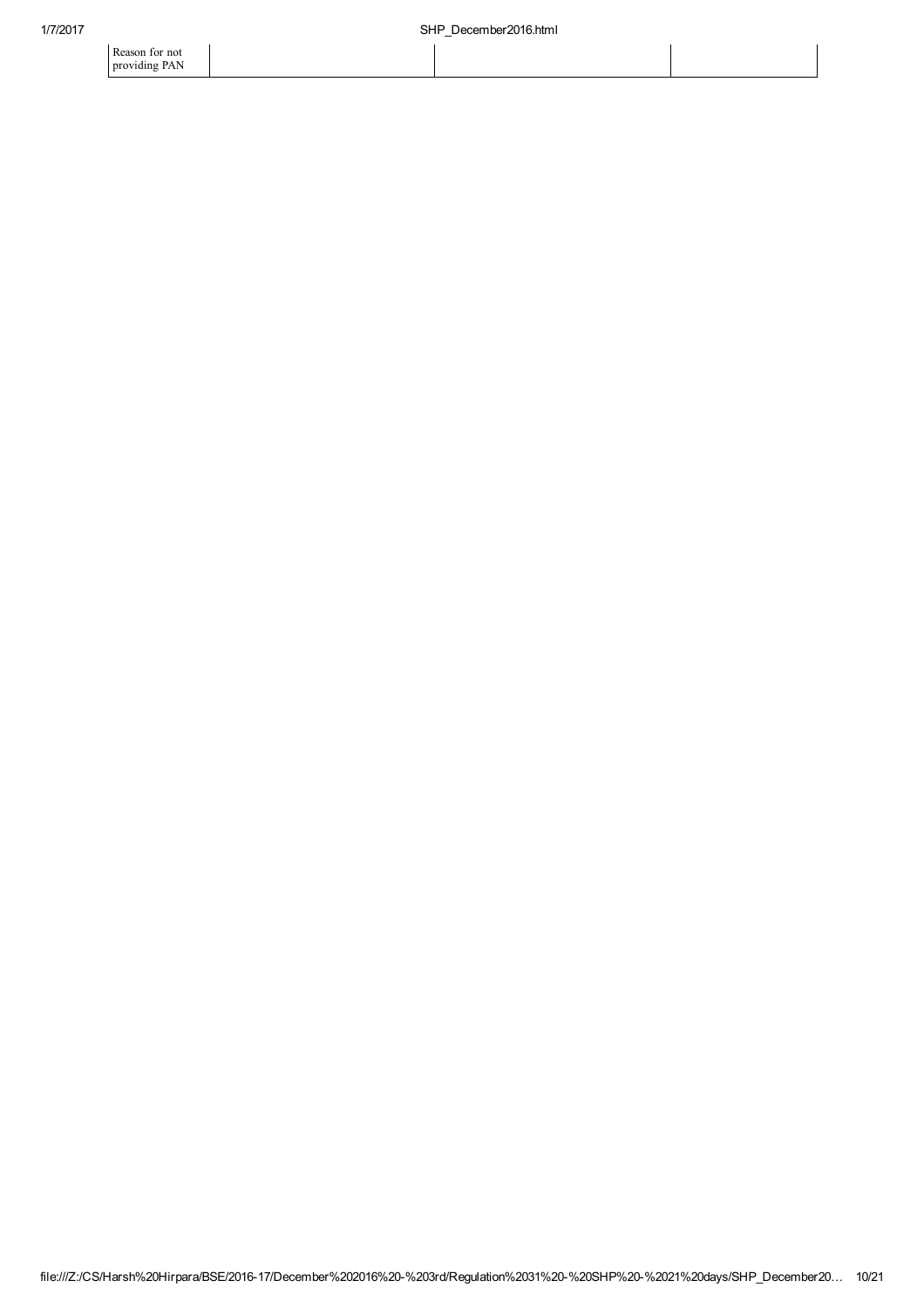Reason for not providing PAN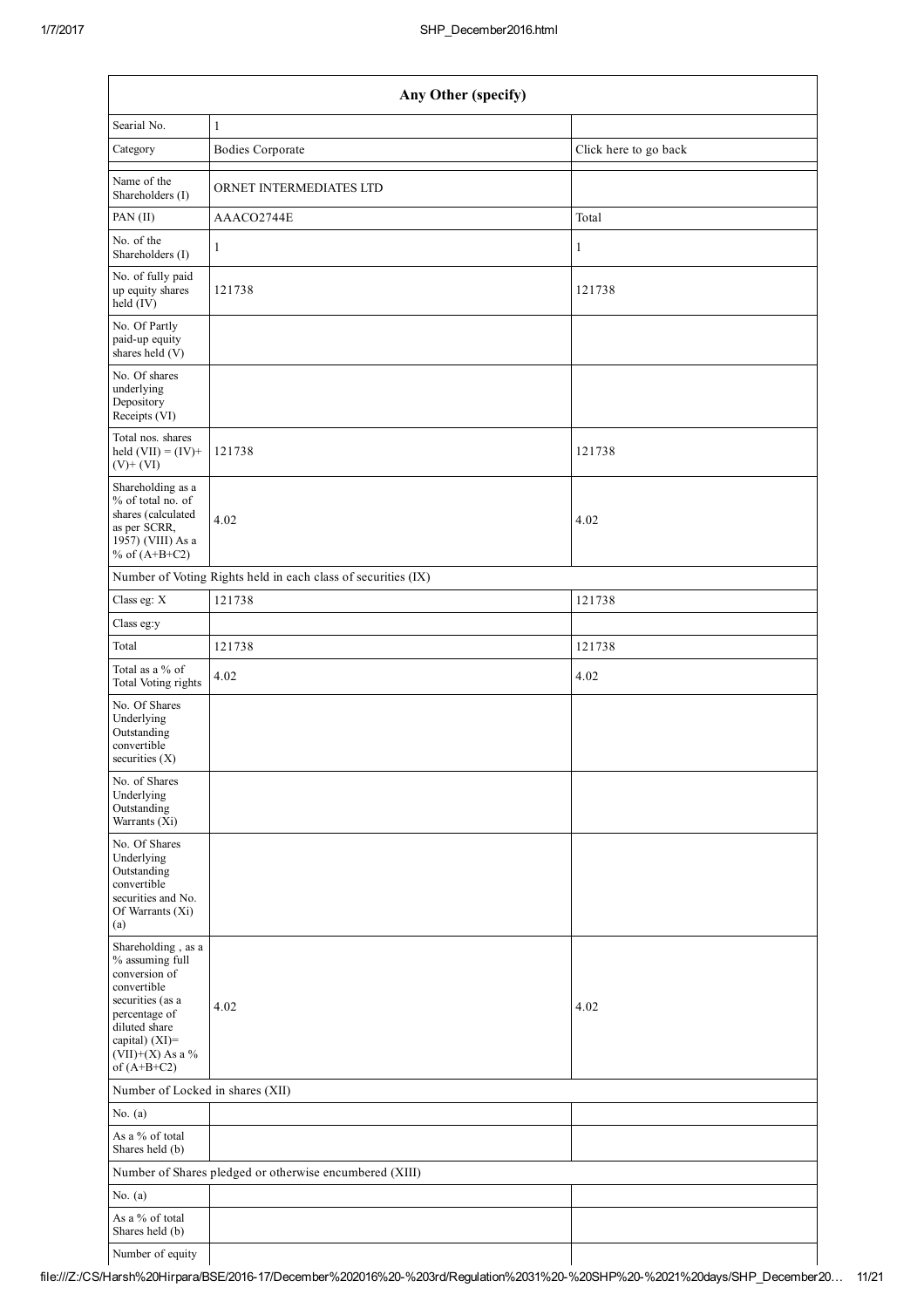| Any Other (specify)                                                                                                                                                                   |                                                               |                       |  |  |  |  |
|---------------------------------------------------------------------------------------------------------------------------------------------------------------------------------------|---------------------------------------------------------------|-----------------------|--|--|--|--|
| Searial No.                                                                                                                                                                           | $\mathbf{1}$                                                  |                       |  |  |  |  |
| Category                                                                                                                                                                              | <b>Bodies Corporate</b>                                       | Click here to go back |  |  |  |  |
| Name of the<br>Shareholders (I)                                                                                                                                                       | ORNET INTERMEDIATES LTD                                       |                       |  |  |  |  |
| PAN $(II)$                                                                                                                                                                            | AAACO2744E                                                    | Total                 |  |  |  |  |
| No. of the<br>Shareholders (I)                                                                                                                                                        | $\mathbf{1}$                                                  | 1                     |  |  |  |  |
| No. of fully paid<br>up equity shares<br>held $(IV)$                                                                                                                                  | 121738                                                        | 121738                |  |  |  |  |
| No. Of Partly<br>paid-up equity<br>shares held (V)                                                                                                                                    |                                                               |                       |  |  |  |  |
| No. Of shares<br>underlying<br>Depository<br>Receipts (VI)                                                                                                                            |                                                               |                       |  |  |  |  |
| Total nos. shares<br>held $(VII) = (IV) +$<br>$(V)+(VI)$                                                                                                                              | 121738                                                        | 121738                |  |  |  |  |
| Shareholding as a<br>% of total no. of<br>shares (calculated<br>as per SCRR,<br>1957) (VIII) As a<br>% of $(A+B+C2)$                                                                  | 4.02                                                          | 4.02                  |  |  |  |  |
|                                                                                                                                                                                       | Number of Voting Rights held in each class of securities (IX) |                       |  |  |  |  |
| Class eg: X                                                                                                                                                                           | 121738                                                        | 121738                |  |  |  |  |
| Class eg:y                                                                                                                                                                            |                                                               |                       |  |  |  |  |
| Total                                                                                                                                                                                 | 121738                                                        | 121738                |  |  |  |  |
| Total as a % of<br>Total Voting rights                                                                                                                                                | 4.02                                                          | 4.02                  |  |  |  |  |
| No. Of Shares<br>Underlying<br>Outstanding<br>convertible<br>securities $(X)$                                                                                                         |                                                               |                       |  |  |  |  |
| No. of Shares<br>Underlying<br>Outstanding<br>Warrants (Xi)                                                                                                                           |                                                               |                       |  |  |  |  |
| No. Of Shares<br>Underlying<br>Outstanding<br>convertible<br>securities and No.<br>Of Warrants (Xi)<br>(a)                                                                            |                                                               |                       |  |  |  |  |
| Shareholding, as a<br>% assuming full<br>conversion of<br>convertible<br>securities (as a<br>percentage of<br>diluted share<br>capital) (XI)=<br>(VII)+(X) As a $\%$<br>of $(A+B+C2)$ | 4.02                                                          | 4.02                  |  |  |  |  |
| Number of Locked in shares (XII)                                                                                                                                                      |                                                               |                       |  |  |  |  |
| No. $(a)$                                                                                                                                                                             |                                                               |                       |  |  |  |  |
| As a % of total<br>Shares held (b)                                                                                                                                                    |                                                               |                       |  |  |  |  |
|                                                                                                                                                                                       | Number of Shares pledged or otherwise encumbered (XIII)       |                       |  |  |  |  |
| No. $(a)$                                                                                                                                                                             |                                                               |                       |  |  |  |  |
| As a % of total<br>Shares held (b)                                                                                                                                                    |                                                               |                       |  |  |  |  |
| Number of equity                                                                                                                                                                      |                                                               |                       |  |  |  |  |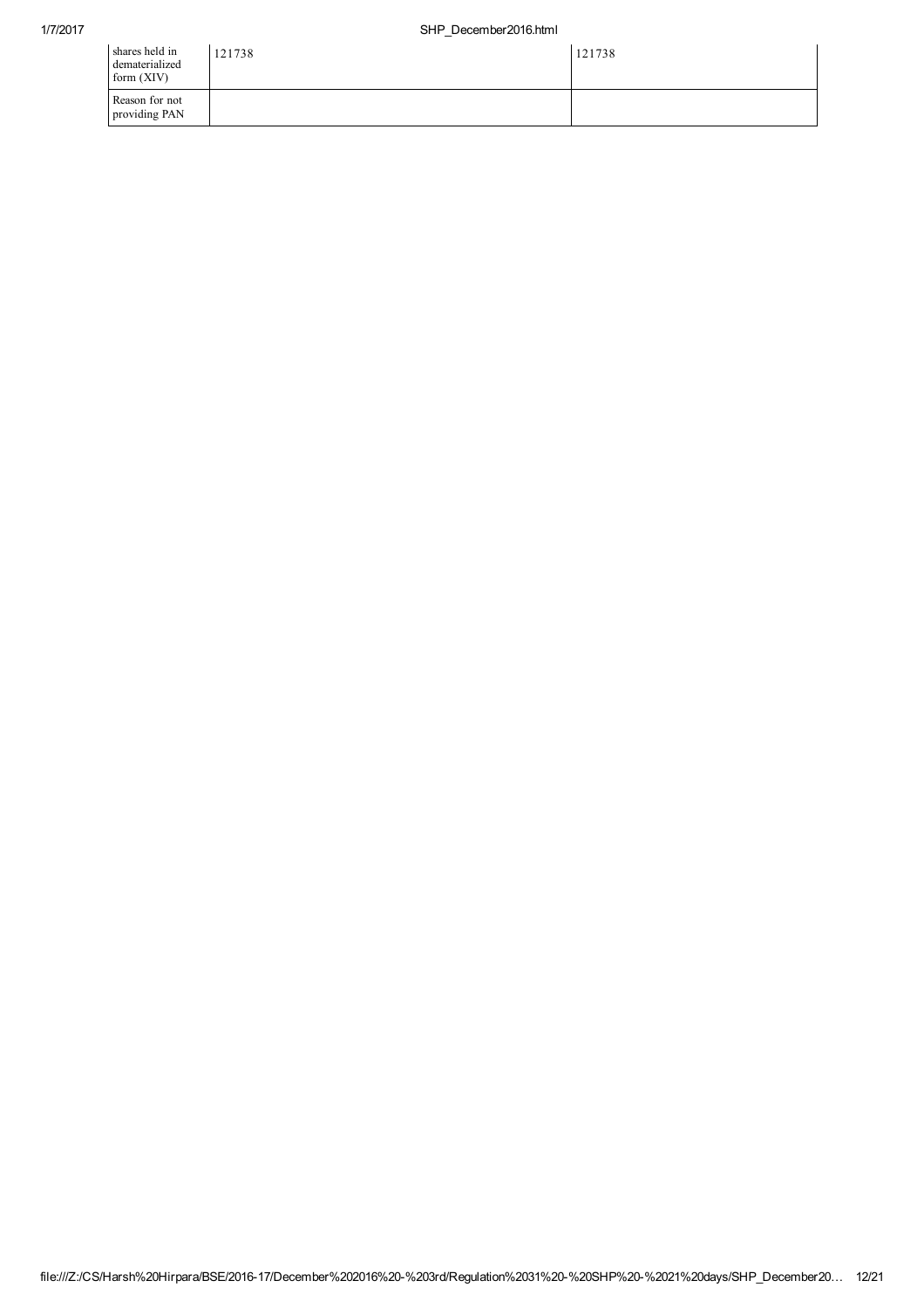| shares held in<br>dematerialized<br>form (XIV) | 121738 | 121738 |
|------------------------------------------------|--------|--------|
| Reason for not<br>providing PAN                |        |        |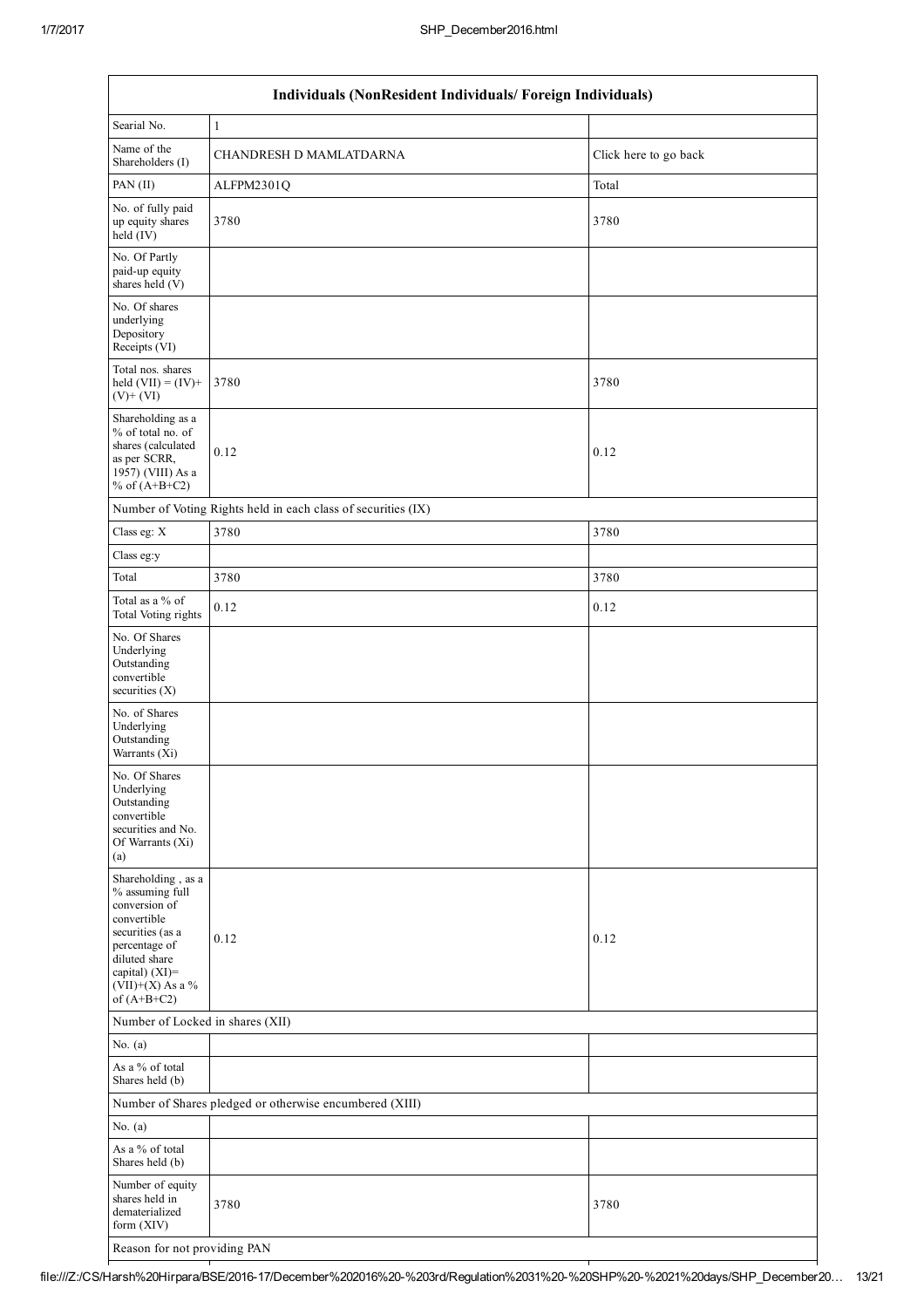$\overline{\phantom{a}}$ 

| Individuals (NonResident Individuals/ Foreign Individuals)                                                                                                                         |                                                               |                       |  |  |  |  |
|------------------------------------------------------------------------------------------------------------------------------------------------------------------------------------|---------------------------------------------------------------|-----------------------|--|--|--|--|
| Searial No.                                                                                                                                                                        | $\mathbf{1}$                                                  |                       |  |  |  |  |
| Name of the<br>Shareholders (I)                                                                                                                                                    | CHANDRESH D MAMLATDARNA                                       | Click here to go back |  |  |  |  |
| PAN (II)                                                                                                                                                                           | ALFPM2301Q                                                    | Total                 |  |  |  |  |
| No. of fully paid<br>up equity shares<br>held $(IV)$                                                                                                                               | 3780                                                          | 3780                  |  |  |  |  |
| No. Of Partly<br>paid-up equity<br>shares held (V)                                                                                                                                 |                                                               |                       |  |  |  |  |
| No. Of shares<br>underlying<br>Depository<br>Receipts (VI)                                                                                                                         |                                                               |                       |  |  |  |  |
| Total nos. shares<br>held $(VII) = (IV) +$<br>$(V)$ + $(VI)$                                                                                                                       | 3780                                                          | 3780                  |  |  |  |  |
| Shareholding as a<br>% of total no. of<br>shares (calculated<br>as per SCRR,<br>1957) (VIII) As a<br>% of $(A+B+C2)$                                                               | 0.12                                                          | 0.12                  |  |  |  |  |
|                                                                                                                                                                                    | Number of Voting Rights held in each class of securities (IX) |                       |  |  |  |  |
| Class eg: X                                                                                                                                                                        | 3780                                                          | 3780                  |  |  |  |  |
| Class eg:y                                                                                                                                                                         |                                                               |                       |  |  |  |  |
| Total                                                                                                                                                                              | 3780                                                          | 3780                  |  |  |  |  |
| Total as a % of<br>Total Voting rights                                                                                                                                             | 0.12                                                          | 0.12                  |  |  |  |  |
| No. Of Shares<br>Underlying<br>Outstanding<br>convertible<br>securities $(X)$                                                                                                      |                                                               |                       |  |  |  |  |
| No. of Shares<br>Underlying<br>Outstanding<br>Warrants (Xi)                                                                                                                        |                                                               |                       |  |  |  |  |
| No. Of Shares<br>Underlying<br>Outstanding<br>convertible<br>securities and No.<br>Of Warrants (Xi)<br>(a)                                                                         |                                                               |                       |  |  |  |  |
| Shareholding, as a<br>% assuming full<br>conversion of<br>convertible<br>securities (as a<br>percentage of<br>diluted share<br>capital) (XI)=<br>(VII)+(X) As a %<br>of $(A+B+C2)$ | 0.12                                                          | 0.12                  |  |  |  |  |
| Number of Locked in shares (XII)                                                                                                                                                   |                                                               |                       |  |  |  |  |
| No. $(a)$                                                                                                                                                                          |                                                               |                       |  |  |  |  |
| As a % of total<br>Shares held (b)                                                                                                                                                 |                                                               |                       |  |  |  |  |
|                                                                                                                                                                                    | Number of Shares pledged or otherwise encumbered (XIII)       |                       |  |  |  |  |
| No. $(a)$                                                                                                                                                                          |                                                               |                       |  |  |  |  |
| As a % of total<br>Shares held (b)                                                                                                                                                 |                                                               |                       |  |  |  |  |
| Number of equity<br>shares held in<br>dematerialized<br>form (XIV)                                                                                                                 | 3780                                                          | 3780                  |  |  |  |  |
| Reason for not providing PAN                                                                                                                                                       |                                                               |                       |  |  |  |  |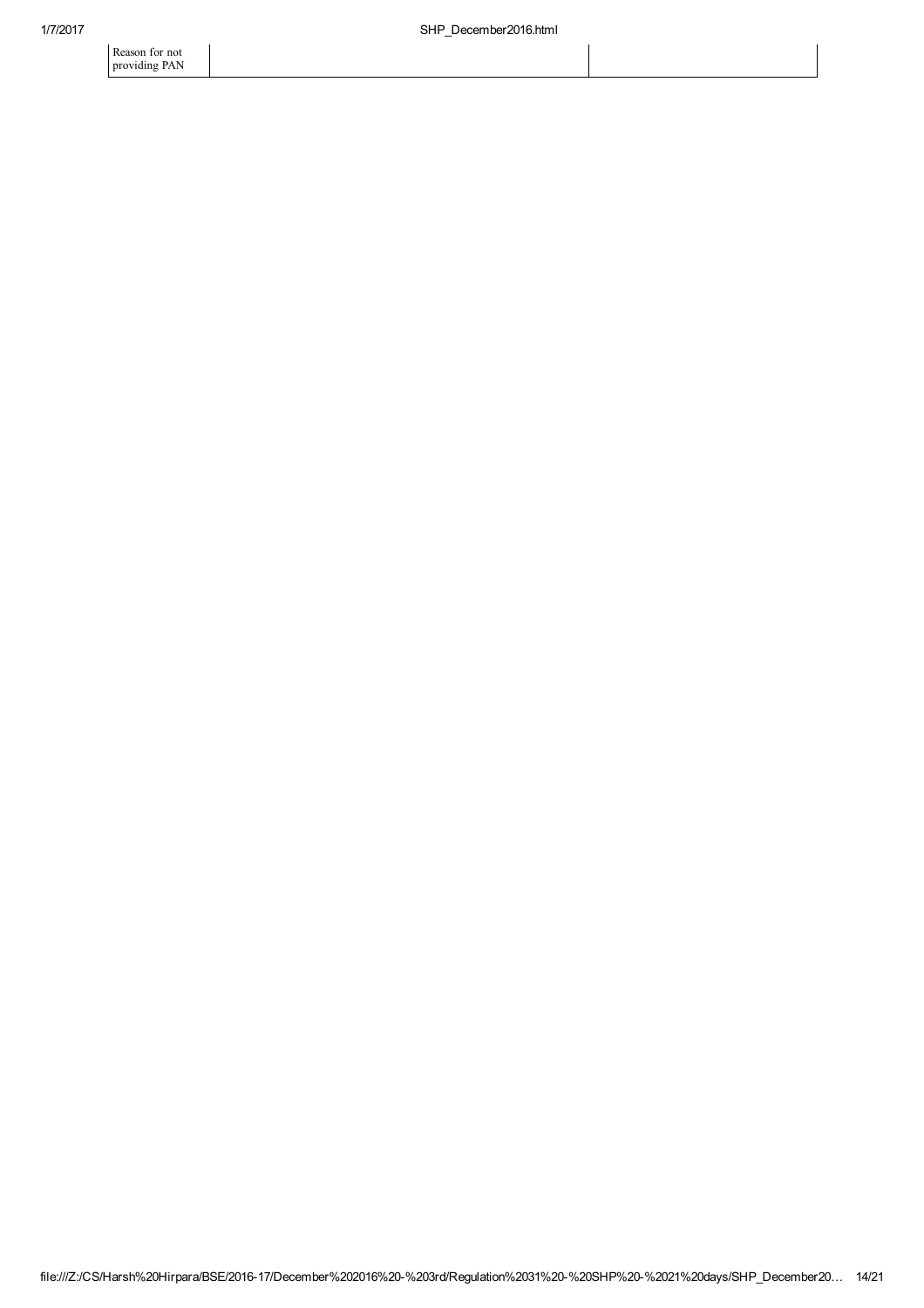Reason for not providing PAN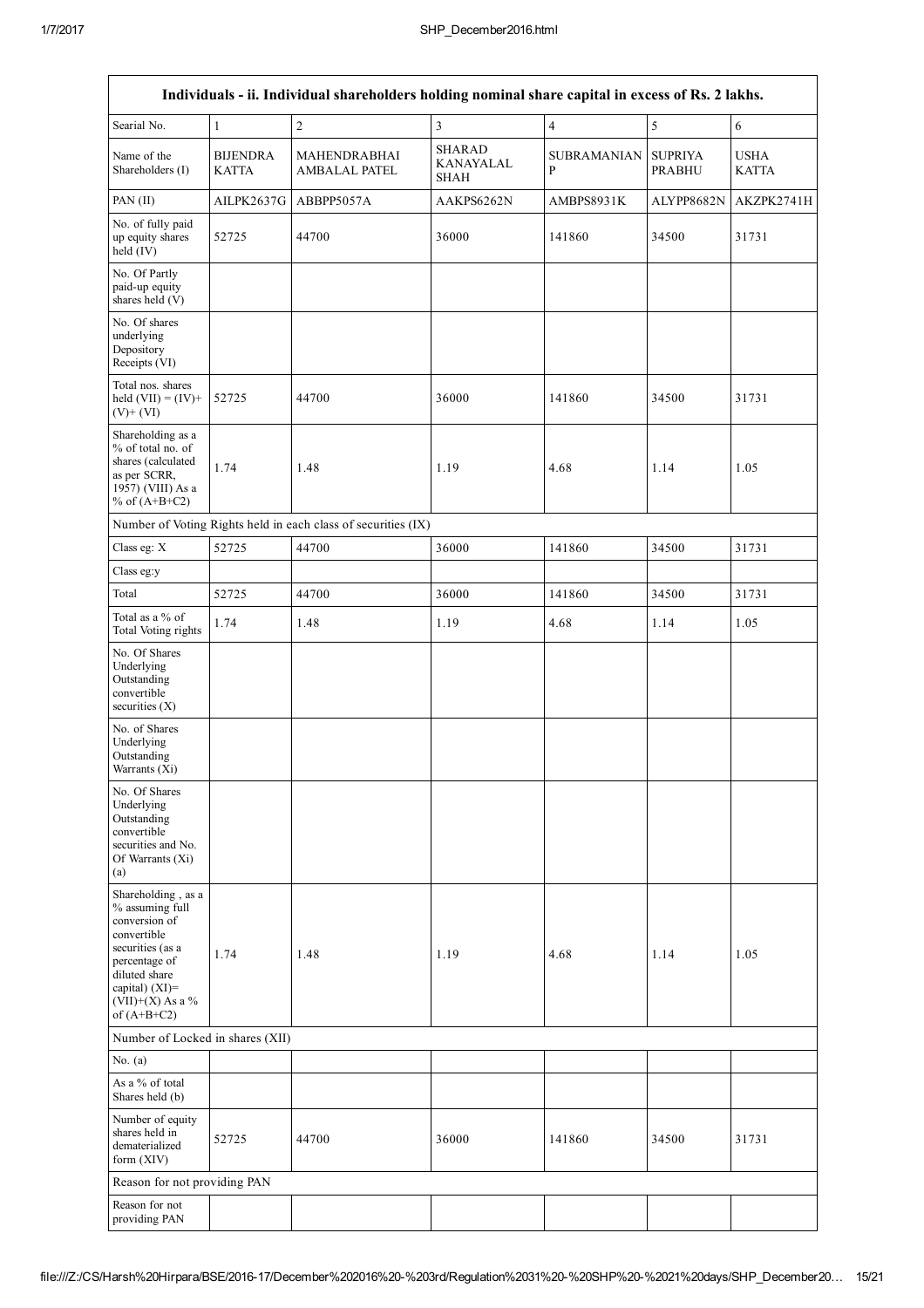|                                                                                                                                                                                         |                                 | Individuals - ii. Individual shareholders holding nominal share capital in excess of Rs. 2 lakhs. |                                           |                                    |                                 |                             |
|-----------------------------------------------------------------------------------------------------------------------------------------------------------------------------------------|---------------------------------|---------------------------------------------------------------------------------------------------|-------------------------------------------|------------------------------------|---------------------------------|-----------------------------|
| Searial No.                                                                                                                                                                             | $\mathbf{1}$                    | $\overline{c}$                                                                                    | $\mathfrak{Z}$                            | $\overline{4}$                     | 5                               | $\sqrt{6}$                  |
| Name of the<br>Shareholders (I)                                                                                                                                                         | <b>BIJENDRA</b><br><b>KATTA</b> | <b>MAHENDRABHAI</b><br><b>AMBALAL PATEL</b>                                                       | <b>SHARAD</b><br>KANAYALAL<br><b>SHAH</b> | <b>SUBRAMANIAN</b><br>$\, {\bf P}$ | <b>SUPRIYA</b><br><b>PRABHU</b> | <b>USHA</b><br><b>KATTA</b> |
| PAN (II)                                                                                                                                                                                | AILPK2637G                      | ABBPP5057A                                                                                        | AAKPS6262N                                | AMBPS8931K                         | ALYPP8682N                      | AKZPK2741H                  |
| No. of fully paid<br>up equity shares<br>$held$ (IV)                                                                                                                                    | 52725                           | 44700                                                                                             | 36000                                     | 141860                             | 34500                           | 31731                       |
| No. Of Partly<br>paid-up equity<br>shares held (V)                                                                                                                                      |                                 |                                                                                                   |                                           |                                    |                                 |                             |
| No. Of shares<br>underlying<br>Depository<br>Receipts (VI)                                                                                                                              |                                 |                                                                                                   |                                           |                                    |                                 |                             |
| Total nos. shares<br>held $(VII) = (IV) +$<br>$(V)$ + $(VI)$                                                                                                                            | 52725                           | 44700                                                                                             | 36000                                     | 141860                             | 34500                           | 31731                       |
| Shareholding as a<br>% of total no. of<br>shares (calculated<br>as per SCRR,<br>1957) (VIII) As a<br>% of $(A+B+C2)$                                                                    | 1.74                            | 1.48                                                                                              | 1.19                                      | 4.68                               | 1.14                            | 1.05                        |
|                                                                                                                                                                                         |                                 | Number of Voting Rights held in each class of securities (IX)                                     |                                           |                                    |                                 |                             |
| Class eg: X                                                                                                                                                                             | 52725                           | 44700                                                                                             | 36000                                     | 141860                             | 34500                           | 31731                       |
| Class eg:y                                                                                                                                                                              |                                 |                                                                                                   |                                           |                                    |                                 |                             |
| Total                                                                                                                                                                                   | 52725                           | 44700                                                                                             | 36000                                     | 141860                             | 34500                           | 31731                       |
| Total as a % of<br><b>Total Voting rights</b>                                                                                                                                           | 1.74                            | 1.48                                                                                              | 1.19                                      | 4.68                               | 1.14                            | 1.05                        |
| No. Of Shares<br>Underlying<br>Outstanding<br>convertible<br>securities (X)                                                                                                             |                                 |                                                                                                   |                                           |                                    |                                 |                             |
| No. of Shares<br>Underlying<br>Outstanding<br>Warrants $(Xi)$                                                                                                                           |                                 |                                                                                                   |                                           |                                    |                                 |                             |
| No. Of Shares<br>Underlying<br>Outstanding<br>convertible<br>securities and No.<br>Of Warrants (Xi)<br>(a)                                                                              |                                 |                                                                                                   |                                           |                                    |                                 |                             |
| Shareholding, as a<br>% assuming full<br>conversion of<br>convertible<br>securities (as a<br>percentage of<br>diluted share<br>capital) $(XI)$ =<br>$(VII)+(X)$ As a %<br>of $(A+B+C2)$ | 1.74                            | 1.48                                                                                              | 1.19                                      | 4.68                               | 1.14                            | 1.05                        |
| Number of Locked in shares (XII)                                                                                                                                                        |                                 |                                                                                                   |                                           |                                    |                                 |                             |
| No. $(a)$                                                                                                                                                                               |                                 |                                                                                                   |                                           |                                    |                                 |                             |
| As a % of total<br>Shares held (b)                                                                                                                                                      |                                 |                                                                                                   |                                           |                                    |                                 |                             |
| Number of equity<br>shares held in<br>dematerialized<br>form (XIV)                                                                                                                      | 52725                           | 44700                                                                                             | 36000                                     | 141860                             | 34500                           | 31731                       |
| Reason for not providing PAN                                                                                                                                                            |                                 |                                                                                                   |                                           |                                    |                                 |                             |
| Reason for not<br>providing PAN                                                                                                                                                         |                                 |                                                                                                   |                                           |                                    |                                 |                             |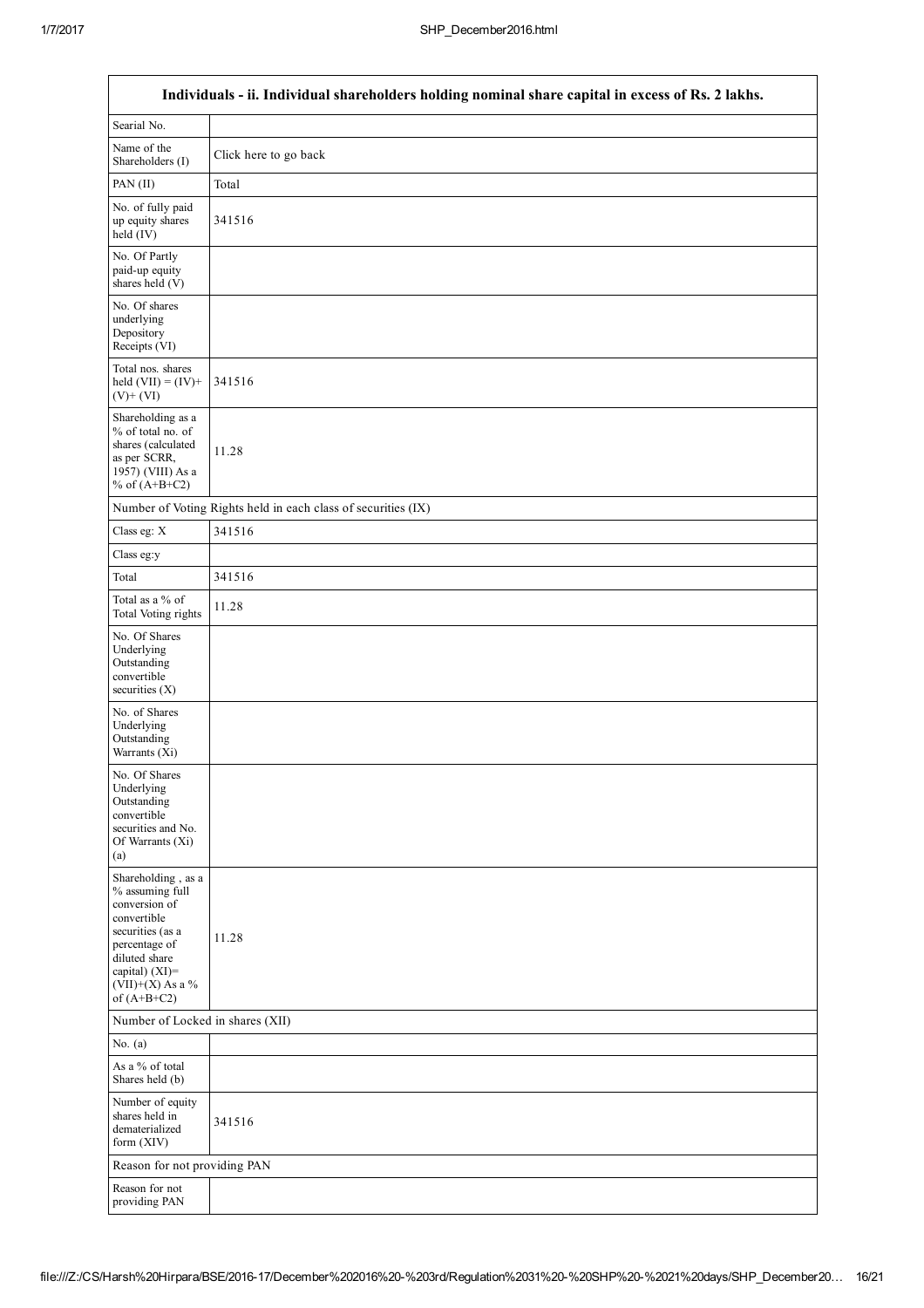$\overline{\phantom{a}}$ 

|                                                                                                                                                                                       | Individuals - ii. Individual shareholders holding nominal share capital in excess of Rs. 2 lakhs. |
|---------------------------------------------------------------------------------------------------------------------------------------------------------------------------------------|---------------------------------------------------------------------------------------------------|
| Searial No.                                                                                                                                                                           |                                                                                                   |
| Name of the<br>Shareholders (I)                                                                                                                                                       | Click here to go back                                                                             |
| PAN (II)                                                                                                                                                                              | Total                                                                                             |
| No. of fully paid<br>up equity shares<br>$held$ (IV)                                                                                                                                  | 341516                                                                                            |
| No. Of Partly<br>paid-up equity<br>shares held $(V)$                                                                                                                                  |                                                                                                   |
| No. Of shares<br>underlying<br>Depository<br>Receipts (VI)                                                                                                                            |                                                                                                   |
| Total nos. shares<br>held $(VII) = (IV) +$<br>$(V)$ + $(VI)$                                                                                                                          | 341516                                                                                            |
| Shareholding as a<br>% of total no. of<br>shares (calculated<br>as per SCRR,<br>1957) (VIII) As a<br>% of $(A+B+C2)$                                                                  | 11.28                                                                                             |
|                                                                                                                                                                                       | Number of Voting Rights held in each class of securities (IX)                                     |
| Class eg: X                                                                                                                                                                           | 341516                                                                                            |
| Class eg:y                                                                                                                                                                            |                                                                                                   |
| Total                                                                                                                                                                                 | 341516                                                                                            |
| Total as a % of<br><b>Total Voting rights</b>                                                                                                                                         | 11.28                                                                                             |
| No. Of Shares<br>Underlying<br>Outstanding<br>convertible<br>securities $(X)$                                                                                                         |                                                                                                   |
| No. of Shares<br>Underlying<br>Outstanding<br>Warrants (Xi)                                                                                                                           |                                                                                                   |
| No. Of Shares<br>Underlying<br>Outstanding<br>convertible<br>securities and No.<br>Of Warrants (Xi)<br>(a)                                                                            |                                                                                                   |
| Shareholding, as a<br>% assuming full<br>conversion of<br>convertible<br>securities (as a<br>percentage of<br>diluted share<br>capital) $(XI)$ =<br>(VII)+(X) As a %<br>of $(A+B+C2)$ | 11.28                                                                                             |
| Number of Locked in shares (XII)                                                                                                                                                      |                                                                                                   |
| No. $(a)$                                                                                                                                                                             |                                                                                                   |
| As a % of total<br>Shares held (b)                                                                                                                                                    |                                                                                                   |
| Number of equity<br>shares held in<br>dematerialized<br>form (XIV)                                                                                                                    | 341516                                                                                            |
| Reason for not providing PAN                                                                                                                                                          |                                                                                                   |
| Reason for not<br>providing PAN                                                                                                                                                       |                                                                                                   |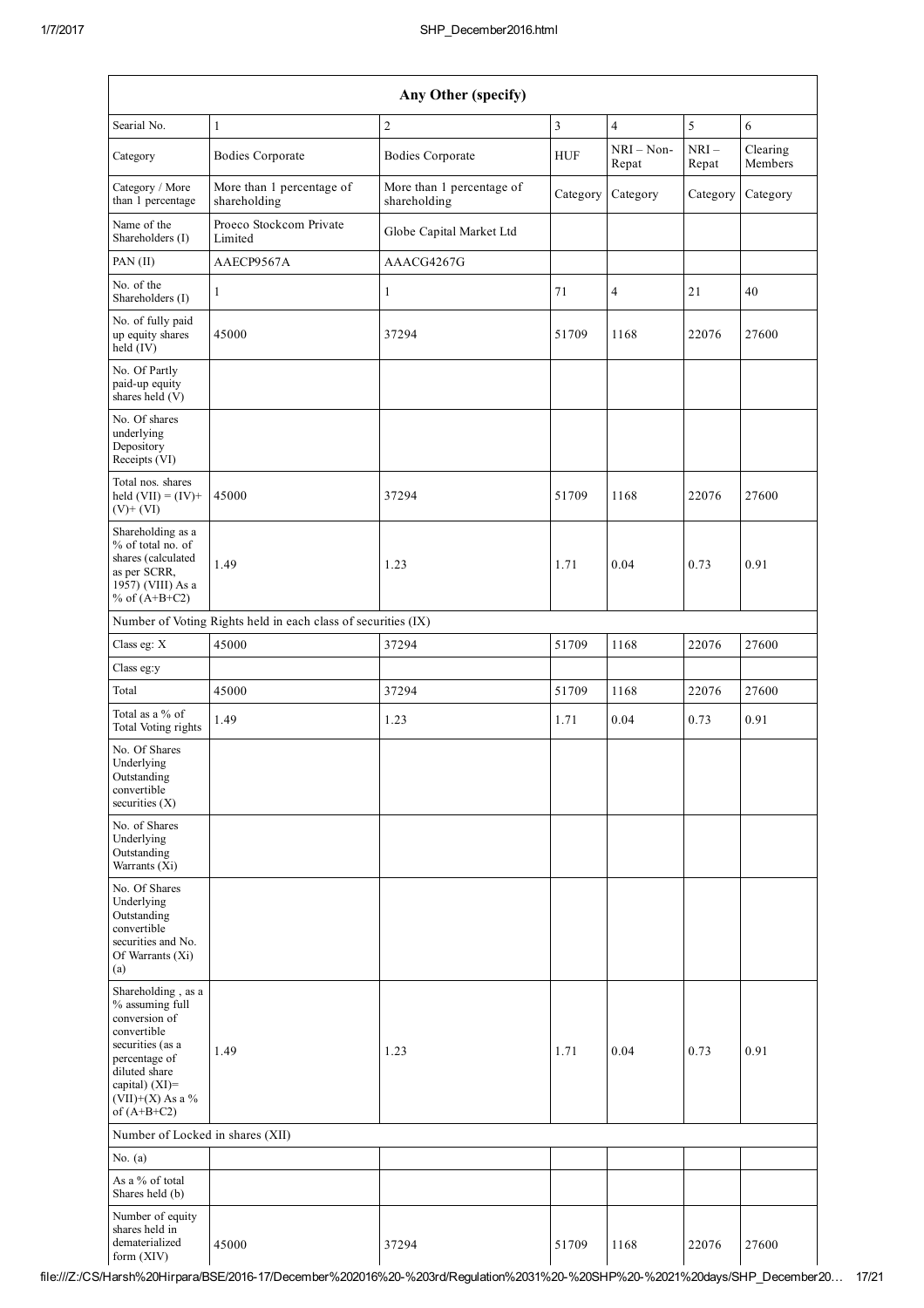|                                                                                                                                                                                         |                                                               | Any Other (specify)                       |            |                       |                 |                     |
|-----------------------------------------------------------------------------------------------------------------------------------------------------------------------------------------|---------------------------------------------------------------|-------------------------------------------|------------|-----------------------|-----------------|---------------------|
| Searial No.                                                                                                                                                                             | $\mathbf{1}$                                                  | $\overline{2}$                            | 3          | $\overline{4}$        | 5               | 6                   |
| Category                                                                                                                                                                                | <b>Bodies Corporate</b>                                       | <b>Bodies Corporate</b>                   | <b>HUF</b> | $NRI - Non-$<br>Repat | $NRI-$<br>Repat | Clearing<br>Members |
| Category / More<br>than 1 percentage                                                                                                                                                    | More than 1 percentage of<br>shareholding                     | More than 1 percentage of<br>shareholding | Category   | Category              | Category        | Category            |
| Name of the<br>Shareholders (I)                                                                                                                                                         | Proeco Stockcom Private<br>Limited                            | Globe Capital Market Ltd                  |            |                       |                 |                     |
| PAN (II)                                                                                                                                                                                | AAECP9567A                                                    | AAACG4267G                                |            |                       |                 |                     |
| No. of the<br>Shareholders (I)                                                                                                                                                          | 1                                                             | 1                                         | 71         | $\overline{4}$        | 21              | 40                  |
| No. of fully paid<br>up equity shares<br>$\text{held}(\text{IV})$                                                                                                                       | 45000                                                         | 37294                                     | 51709      | 1168                  | 22076           | 27600               |
| No. Of Partly<br>paid-up equity<br>shares held (V)                                                                                                                                      |                                                               |                                           |            |                       |                 |                     |
| No. Of shares<br>underlying<br>Depository<br>Receipts (VI)                                                                                                                              |                                                               |                                           |            |                       |                 |                     |
| Total nos. shares<br>held $(VII) = (IV) +$<br>$(V)$ + $(VI)$                                                                                                                            | 45000                                                         | 37294                                     | 51709      | 1168                  | 22076           | 27600               |
| Shareholding as a<br>% of total no. of<br>shares (calculated<br>as per SCRR,<br>1957) (VIII) As a<br>% of $(A+B+C2)$                                                                    | 1.49                                                          | 1.23                                      | 1.71       | 0.04                  | 0.73            | 0.91                |
|                                                                                                                                                                                         | Number of Voting Rights held in each class of securities (IX) |                                           |            |                       |                 |                     |
| Class eg: X                                                                                                                                                                             | 45000                                                         | 37294                                     | 51709      | 1168                  | 22076           | 27600               |
| Class eg:y                                                                                                                                                                              |                                                               |                                           |            |                       |                 |                     |
| Total                                                                                                                                                                                   | 45000                                                         | 37294                                     | 51709      | 1168                  | 22076           | 27600               |
| Total as a % of<br>Total Voting rights                                                                                                                                                  | 1.49                                                          | 1.23                                      | 1.71       | 0.04                  | 0.73            | 0.91                |
| No. Of Shares<br>Underlying<br>Outstanding<br>convertible<br>securities $(X)$                                                                                                           |                                                               |                                           |            |                       |                 |                     |
| No. of Shares<br>Underlying<br>Outstanding<br>Warrants (Xi)                                                                                                                             |                                                               |                                           |            |                       |                 |                     |
| No. Of Shares<br>Underlying<br>Outstanding<br>convertible<br>securities and No.<br>Of Warrants (Xi)<br>(a)                                                                              |                                                               |                                           |            |                       |                 |                     |
| Shareholding, as a<br>% assuming full<br>conversion of<br>convertible<br>securities (as a<br>percentage of<br>diluted share<br>capital) $(XI)$ =<br>$(VII)+(X)$ As a %<br>of $(A+B+C2)$ | 1.49                                                          | 1.23                                      | 1.71       | 0.04                  | 0.73            | 0.91                |
| Number of Locked in shares (XII)                                                                                                                                                        |                                                               |                                           |            |                       |                 |                     |
| No. $(a)$<br>As a % of total<br>Shares held (b)                                                                                                                                         |                                                               |                                           |            |                       |                 |                     |
| Number of equity<br>shares held in<br>dematerialized<br>form (XIV)                                                                                                                      | 45000                                                         | 37294                                     | 51709      | 1168                  | 22076           | 27600               |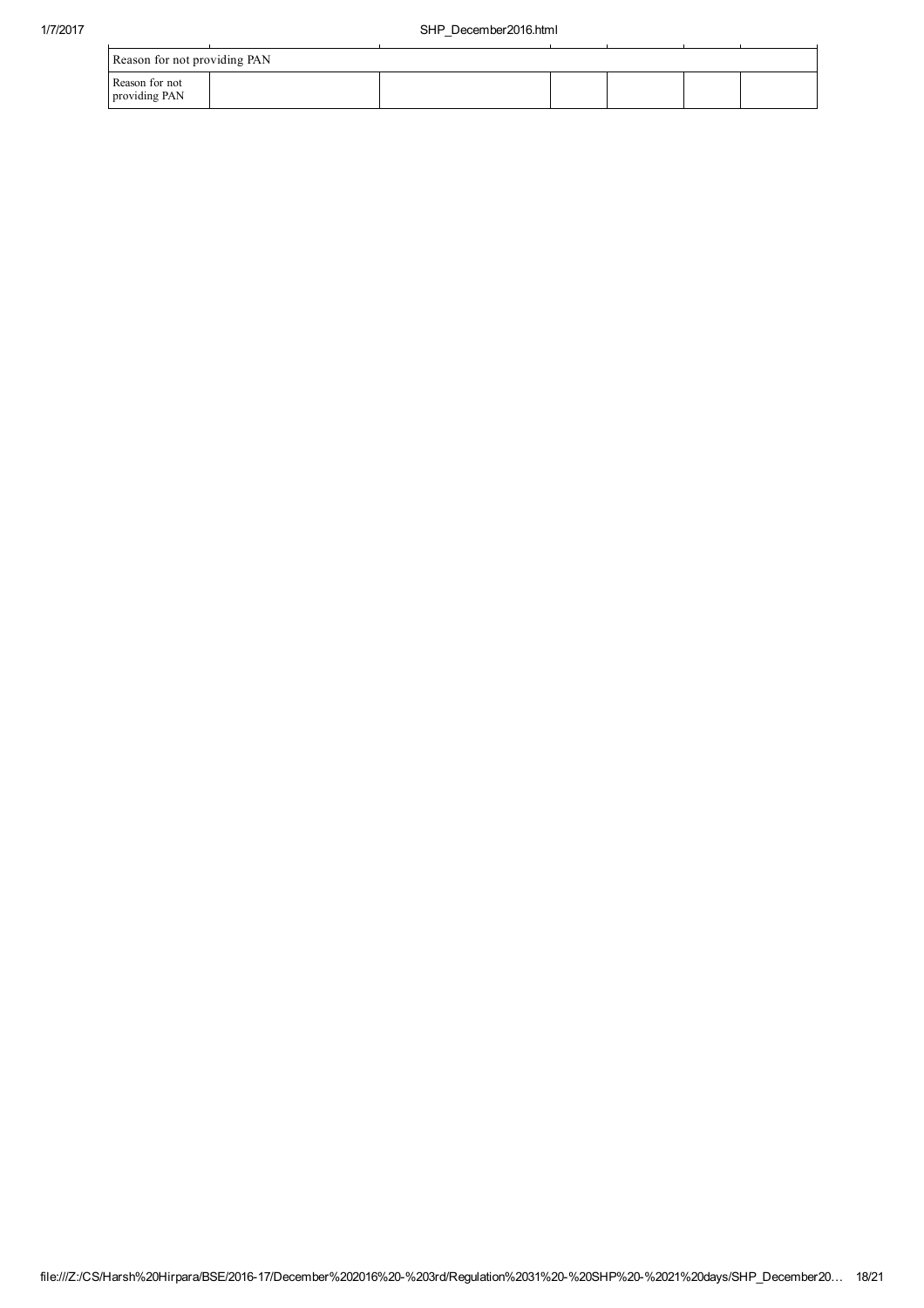| Reason for not providing PAN    |  |  |  |
|---------------------------------|--|--|--|
| Reason for not<br>providing PAN |  |  |  |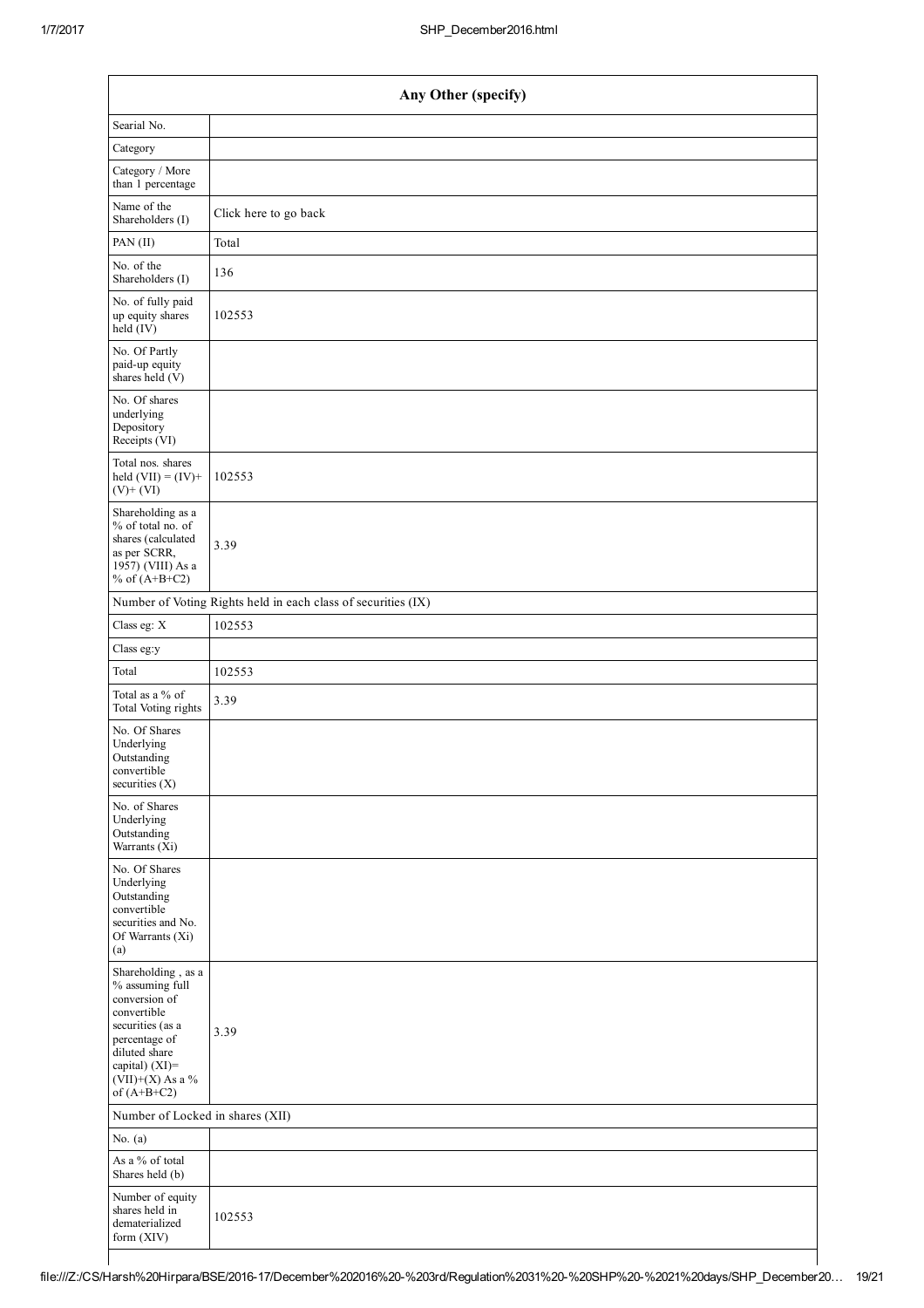|                                                                                                                                                                                      | Any Other (specify)                                           |
|--------------------------------------------------------------------------------------------------------------------------------------------------------------------------------------|---------------------------------------------------------------|
| Searial No.                                                                                                                                                                          |                                                               |
| Category                                                                                                                                                                             |                                                               |
| Category / More<br>than 1 percentage                                                                                                                                                 |                                                               |
| Name of the<br>Shareholders (I)                                                                                                                                                      | Click here to go back                                         |
| PAN (II)                                                                                                                                                                             | Total                                                         |
| No. of the<br>Shareholders (I)                                                                                                                                                       | 136                                                           |
| No. of fully paid<br>up equity shares<br>$\text{held} (IV)$                                                                                                                          | 102553                                                        |
| No. Of Partly<br>paid-up equity<br>shares held $(V)$                                                                                                                                 |                                                               |
| No. Of shares<br>underlying<br>Depository<br>Receipts (VI)                                                                                                                           |                                                               |
| Total nos. shares<br>held $(VII) = (IV) +$<br>$(V)$ + $(VI)$                                                                                                                         | 102553                                                        |
| Shareholding as a<br>% of total no. of<br>shares (calculated<br>as per SCRR,<br>1957) (VIII) As a<br>% of $(A+B+C2)$                                                                 | 3.39                                                          |
|                                                                                                                                                                                      | Number of Voting Rights held in each class of securities (IX) |
| Class eg: X                                                                                                                                                                          | 102553                                                        |
| Class eg:y                                                                                                                                                                           |                                                               |
| Total                                                                                                                                                                                | 102553                                                        |
| Total as a % of<br>Total Voting rights                                                                                                                                               | 3.39                                                          |
| No. Of Shares<br>Underlying<br>Outstanding<br>convertible<br>securities (X)                                                                                                          |                                                               |
| No. of Shares<br>Underlying<br>Outstanding<br>Warrants (Xi)                                                                                                                          |                                                               |
| No. Of Shares<br>Underlying<br>Outstanding<br>convertible<br>securities and No.<br>Of Warrants (Xi)<br>(a)                                                                           |                                                               |
| Shareholding, as a<br>% assuming full<br>conversion of<br>convertible<br>securities (as a<br>percentage of<br>diluted share<br>capital) (XI)=<br>$(VII)+(X)$ As a %<br>of $(A+B+C2)$ | 3.39                                                          |
| Number of Locked in shares (XII)                                                                                                                                                     |                                                               |
| No. $(a)$                                                                                                                                                                            |                                                               |
| As a % of total<br>Shares held (b)                                                                                                                                                   |                                                               |
| Number of equity<br>shares held in<br>dematerialized<br>form (XIV)                                                                                                                   | 102553                                                        |